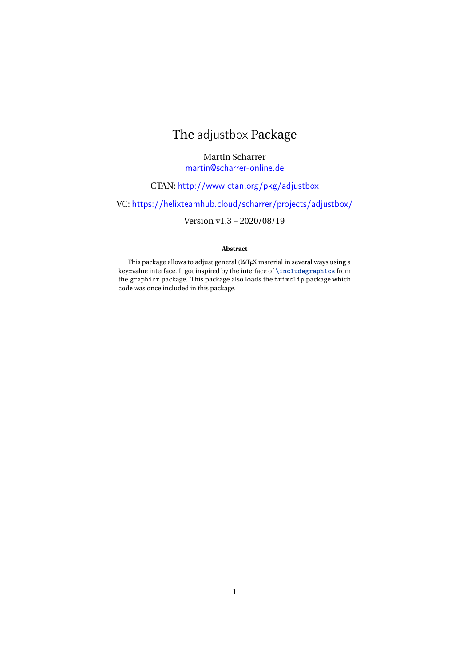# The adjustbox Package

Martin Scharrer [martin@scharrer-online.de](mailto:martin@scharrer-online.de)

CTAN: <http://www.ctan.org/pkg/adjustbox>

VC: <https://helixteamhub.cloud/scharrer/projects/adjustbox/>

Version v1.3 – 2020/08/19

## **Abstract**

This package allows to adjust general (LA)TEX material in several ways using a key=value interface. It got inspired by the interface of **\includegraphics** from the graphicx package. This package also loads the trimclip package which code was once included in this package.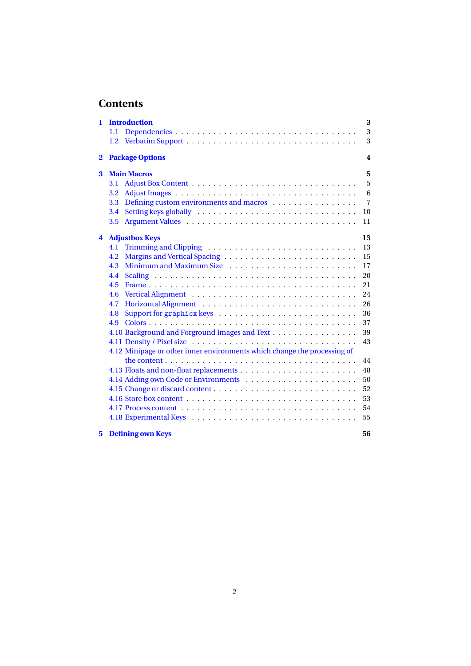# **Contents**

| 1.                      | <b>Introduction</b>                                                                           | 3              |
|-------------------------|-----------------------------------------------------------------------------------------------|----------------|
|                         | 1.1                                                                                           | 3              |
|                         |                                                                                               | 3              |
| $\mathbf 2$             | <b>Package Options</b>                                                                        | 4              |
| 3                       | <b>Main Macros</b>                                                                            | 5              |
|                         | 3.1                                                                                           | 5              |
|                         | 3.2                                                                                           | 6              |
|                         | Defining custom environments and macros<br>3.3                                                | $\overline{7}$ |
|                         | 3.4                                                                                           | 10             |
|                         | 3.5                                                                                           | 11             |
| $\overline{\mathbf{4}}$ | <b>Adjustbox Keys</b>                                                                         | 13             |
|                         | Trimming and Clipping $\ldots \ldots \ldots \ldots \ldots \ldots \ldots \ldots \ldots$<br>4.1 | 13             |
|                         | 4.2                                                                                           | 15             |
|                         | 4.3                                                                                           | 17             |
|                         | 4.4                                                                                           | 20             |
|                         | 4.5                                                                                           | 21             |
|                         | 4.6                                                                                           | 24             |
|                         | 4.7                                                                                           | 26             |
|                         | 4.8                                                                                           | 36             |
|                         | 4.9                                                                                           | 37             |
|                         | 4.10 Background and Forground Images and Text                                                 | 39             |
|                         |                                                                                               | 43             |
|                         | 4.12 Minipage or other inner environments which change the processing of                      |                |
|                         |                                                                                               | 44             |
|                         |                                                                                               | 48             |
|                         | 4.14 Adding own Code or Environments                                                          | 50             |
|                         |                                                                                               | 52             |
|                         |                                                                                               | 53             |
|                         |                                                                                               | 54             |
|                         |                                                                                               | 55             |
| 5.                      | <b>Defining own Keys</b>                                                                      | 56             |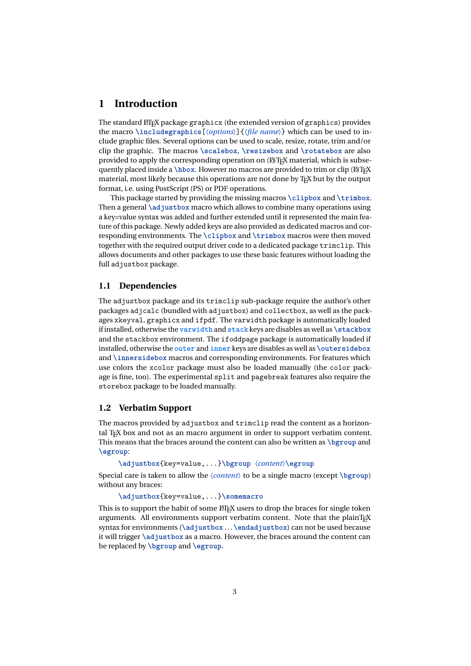## <span id="page-2-0"></span>**1 Introduction**

The standard LATEX package graphicx (the extended version of graphics) provides the macro **\includegraphics**[〈*options*〉]{〈*file name*〉} which can be used to include graphic files. Several options can be used to scale, resize, rotate, trim and/or clip the graphic. The macros **\scalebox**, **\resizebox** and **\rotatebox** are also provided to apply the corresponding operation on  $(\mathbb{A})$ T<sub>EX</sub> material, which is subsequently placed inside a  $\hbar$  hbox. However no macros are provided to trim or clip ( $\hbar$ )T<sub>E</sub>X material, most likely because this operations are not done by TEX but by the output format, i.e. using PostScript (PS) or PDF operations.

This package started by providing the missing macros **\clipbox** and **\trimbox**. Then a general **\adjustbox** macro which allows to combine many operations using a key=value syntax was added and further extended until it represented the main feature of this package. Newly added keys are also provided as dedicated macros and corresponding environments. The **\clipbox** and **\trimbox** macros were then moved together with the required output driver code to a dedicated package trimclip. This allows documents and other packages to use these basic features without loading the full adjustbox package.

### <span id="page-2-1"></span>**1.1 Dependencies**

The adjustbox package and its trimclip sub-package require the author's other packages adjcalc (bundled with adjustbox) and collectbox, as well as the packages xkeyval, graphicx and ifpdf. The varwidth package is automatically loaded if installed, otherwise the **varwidth** and **stack** keys are disables as well as **\stackbox** and the stackbox environment. The ifoddpage package is automatically loaded if installed, otherwise the **outer** and **inner** keys are disables as well as **\outersidebox** and **\innersidebox** macros and corresponding environments. For features which use colors the xcolor package must also be loaded manually (the color package is fine, too). The experimental split and pagebreak features also require the storebox package to be loaded manually.

## <span id="page-2-2"></span>**1.2 Verbatim Support**

The macros provided by adjustbox and trimclip read the content as a horizontal T<sub>EX</sub> box and not as an macro argument in order to support verbatim content. This means that the braces around the content can also be written as **\bgroup** and **\egroup**:

```
\adjustbox{key=value,...}\bgroup 〈content〉\egroup
```
Special care is taken to allow the 〈*content*〉 to be a single macro (except **\bgroup**) without any braces:

```
\adjustbox{key=value,...}\somemacro
```
This is to support the habit of some LATEX users to drop the braces for single token arguments. All environments support verbatim content. Note that the plainTFX syntax for environments (**\adjustbox** . . .**\endadjustbox**) can not be used because it will trigger **\adjustbox** as a macro. However, the braces around the content can be replaced by **\bgroup** and **\egroup**.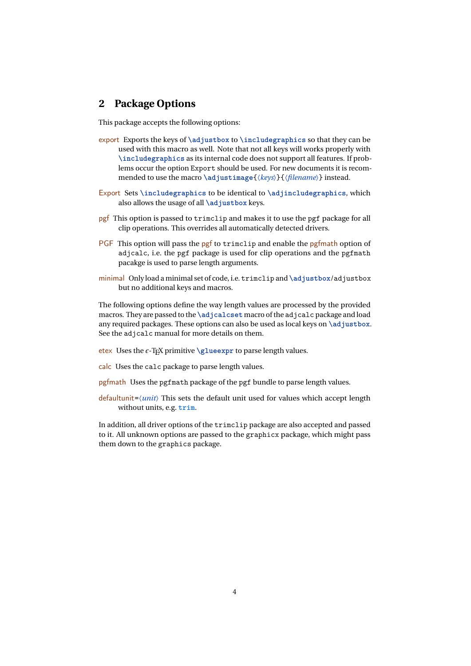## <span id="page-3-0"></span>**2 Package Options**

This package accepts the following options:

- export Exports the keys of **\adjustbox** to **\includegraphics** so that they can be used with this macro as well. Note that not all keys will works properly with **\includegraphics** as its internal code does not support all features. If problems occur the option Export should be used. For new documents it is recommended to use the macro **\adjustimage**{〈*keys*〉}{〈*filename*〉} instead.
- Export Sets **\includegraphics** to be identical to **\adjincludegraphics**, which also allows the usage of all **\adjustbox** keys.
- pgf This option is passed to trimclip and makes it to use the pgf package for all clip operations. This overrides all automatically detected drivers.
- PGF This option will pass the pgf to trimclip and enable the pgfmath option of adjcalc, i.e. the pgf package is used for clip operations and the pgfmath pacakge is used to parse length arguments.
- minimal Only load a minimal set of code, i.e. trimclip and **\adjustbox**/adjustbox but no additional keys and macros.

The following options define the way length values are processed by the provided macros. They are passed to the **\adjcalcset** macro of the adjcalc package and load any required packages. These options can also be used as local keys on **\adjustbox**. See the adjcalc manual for more details on them.

- etex Uses the  $\epsilon$ -T<sub>E</sub>X primitive  $\qquad$ lueexpr to parse length values.
- calc Uses the calc package to parse length values.

pgfmath Uses the pgfmath package of the pgf bundle to parse length values.

defaultunit=〈*unit*〉 This sets the default unit used for values which accept length without units, e.g. **trim**.

In addition, all driver options of the trimclip package are also accepted and passed to it. All unknown options are passed to the graphicx package, which might pass them down to the graphics package.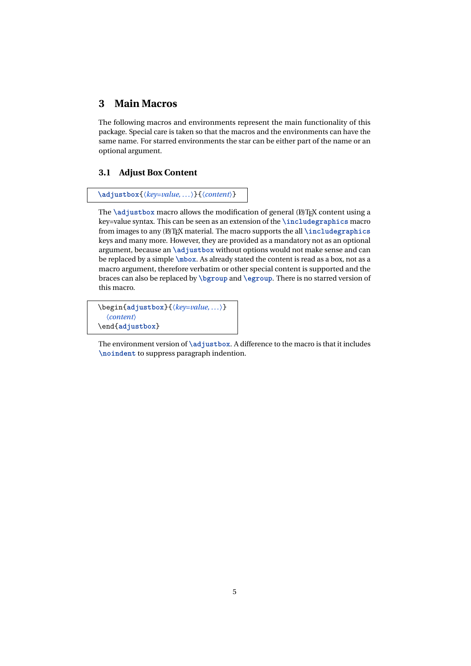## <span id="page-4-0"></span>**3 Main Macros**

The following macros and environments represent the main functionality of this package. Special care is taken so that the macros and the environments can have the same name. For starred environments the star can be either part of the name or an optional argument.

## <span id="page-4-1"></span>**3.1 Adjust Box Content**

**\adjustbox**{〈*key=value, . . .*〉}{〈*content*〉}

The **\adjustbox** macro allows the modification of general (LA)T<sub>E</sub>X content using a key=value syntax. This can be seen as an extension of the **\includegraphics** macro from images to any (LA)T<sub>E</sub>X material. The macro supports the all **\includegraphics** keys and many more. However, they are provided as a mandatory not as an optional argument, because an **\adjustbox** without options would not make sense and can be replaced by a simple **\mbox**. As already stated the content is read as a box, not as a macro argument, therefore verbatim or other special content is supported and the braces can also be replaced by **\bgroup** and **\egroup**. There is no starred version of this macro.

\begin{**adjustbox**}{〈*key=value, . . .*〉} 〈*content*〉 \end{**adjustbox**}

The environment version of **\adjustbox**. A difference to the macro is that it includes **\noindent** to suppress paragraph indention.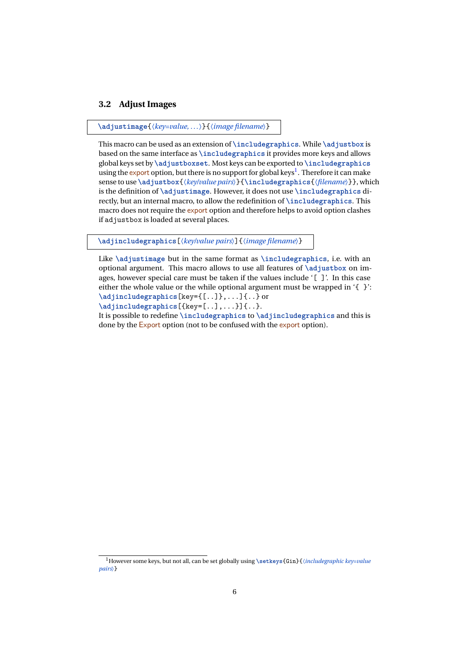## <span id="page-5-0"></span>**3.2 Adjust Images**

**\adjustimage**{〈*key=value, . . .*〉}{〈*image filename*〉}

This macro can be used as an extension of **\includegraphics**. While **\adjustbox** is based on the same interface as **\includegraphics** it provides more keys and allows global keys set by **\adjustboxset**. Most keys can be exported to **\includegraphics** using the export option, but there is no support for global keys<sup>[1](#page-5-1)</sup>. Therefore it can make sense to use **\adjustbox**{〈*key/value pairs*〉}{**\includegraphics**{〈*filename*〉}}, which is the definition of **\adjustimage**. However, it does not use **\includegraphics** directly, but an internal macro, to allow the redefinition of **\includegraphics**. This macro does not require the export option and therefore helps to avoid option clashes if adjustbox is loaded at several places.

**\adjincludegraphics**[〈*key/value pairs*〉]{〈*image filename*〉}

Like **\adjustimage** but in the same format as **\includegraphics**, i.e. with an optional argument. This macro allows to use all features of **\adjustbox** on images, however special care must be taken if the values include '[ ]'. In this case either the whole value or the while optional argument must be wrapped in '{ }': **\adjincludegraphics**[key={[..]},...]{..} or

**\adjincludegraphics**[{key=[..],...}]{..}.

It is possible to redefine **\includegraphics** to **\adjincludegraphics** and this is done by the Export option (not to be confused with the export option).

<span id="page-5-1"></span><sup>1</sup>However some keys, but not all, can be set globally using **\setkeys**{Gin}{〈*includegraphic key=value pairs*〉}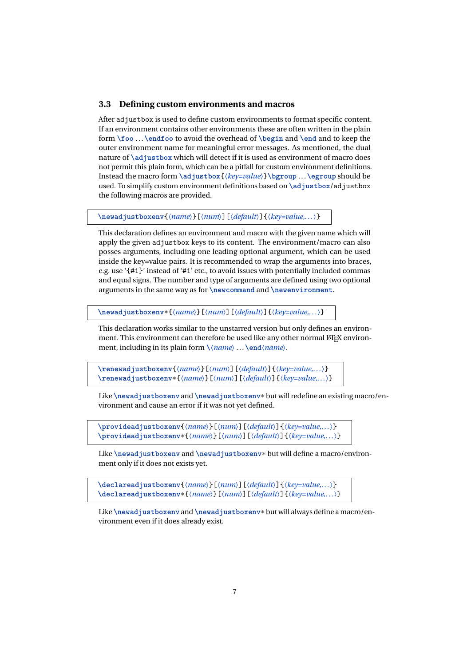### <span id="page-6-0"></span>**3.3 Defining custom environments and macros**

After adjustbox is used to define custom environments to format specific content. If an environment contains other environments these are often written in the plain form **\foo** .. .**\endfoo** to avoid the overhead of **\begin** and **\end** and to keep the outer environment name for meaningful error messages. As mentioned, the dual nature of **\adjustbox** which will detect if it is used as environment of macro does not permit this plain form, which can be a pitfall for custom environment definitions. Instead the macro form **\adjustbox**{〈*key=value*〉}**\bgroup** .. .**\egroup** should be used. To simplify custom environment definitions based on **\adjustbox**/adjustbox the following macros are provided.

**\newadjustboxenv**{〈*name*〉}[〈*num*〉][〈*default*〉]{〈*key=value,. . .*〉}

This declaration defines an environment and macro with the given name which will apply the given adjustbox keys to its content. The environment/macro can also posses arguments, including one leading optional argument, which can be used inside the key=value pairs. It is recommended to wrap the arguments into braces, e.g. use '{#1}' instead of '#1' etc., to avoid issues with potentially included commas and equal signs. The number and type of arguments are defined using two optional arguments in the same way as for **\newcommand** and **\newenvironment**.

**\newadjustboxenv**\*{〈*name*〉}[〈*num*〉][〈*default*〉]{〈*key=value,. . .*〉}

This declaration works similar to the unstarred version but only defines an environment. This environment can therefore be used like any other normal LATEX environment, including in its plain form **\**〈*name*〉 . . .**\end**〈*name*〉.

```
\renewadjustboxenv{〈name〉}[〈num〉][〈default〉]{〈key=value,. . .〉}
\renewadjustboxenv*{〈name〉}[〈num〉][〈default〉]{〈key=value,. . .〉}
```
Like **\newadjustboxenv** and **\newadjustboxenv**\* but will redefine an existing macro/environment and cause an error if it was not yet defined.

**\provideadjustboxenv**{〈*name*〉}[〈*num*〉][〈*default*〉]{〈*key=value,. . .*〉} **\provideadjustboxenv**\*{〈*name*〉}[〈*num*〉][〈*default*〉]{〈*key=value,. . .*〉}

Like **\newadjustboxenv** and **\newadjustboxenv**\* but will define a macro/environment only if it does not exists yet.

**\declareadjustboxenv**{〈*name*〉}[〈*num*〉][〈*default*〉]{〈*key=value,. . .*〉} **\declareadjustboxenv**\*{〈*name*〉}[〈*num*〉][〈*default*〉]{〈*key=value,. . .*〉}

Like **\newadjustboxenv** and **\newadjustboxenv**\* but will always define a macro/environment even if it does already exist.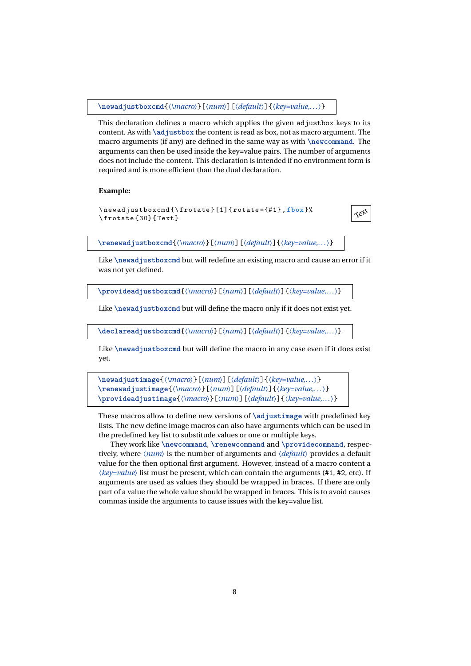**\newadjustboxcmd**{〈*\macro*〉}[〈*num*〉][〈*default*〉]{〈*key=value,. . .*〉}

This declaration defines a macro which applies the given adjustbox keys to its content. As with **\adjustbox** the content is read as box, not as macro argument. The macro arguments (if any) are defined in the same way as with **\newcommand**. The arguments can then be used inside the key=value pairs. The number of arguments does not include the content. This declaration is intended if no environment form is required and is more efficient than the dual declaration.

**Example:**

```
\newadjustboxcmd{\frotate}[1]{rotate={#1},fbox}%<br>\frotate{30}{Text}
```
**\renewadjustboxcmd**{〈*\macro*〉}[〈*num*〉][〈*default*〉]{〈*key=value,. . .*〉}

Like **\newadjustboxcmd** but will redefine an existing macro and cause an error if it was not yet defined.

**\provideadjustboxcmd**{〈*\macro*〉}[〈*num*〉][〈*default*〉]{〈*key=value,. . .*〉}

Like **\newadjustboxcmd** but will define the macro only if it does not exist yet.

**\declareadjustboxcmd**{〈*\macro*〉}[〈*num*〉][〈*default*〉]{〈*key=value,. . .*〉}

Like **\newadjustboxcmd** but will define the macro in any case even if it does exist yet.

**\newadjustimage**{〈*\macro*〉}[〈*num*〉][〈*default*〉]{〈*key=value,. . .*〉} **\renewadjustimage**{〈*\macro*〉}[〈*num*〉][〈*default*〉]{〈*key=value,. . .*〉} **\provideadjustimage**{〈*\macro*〉}[〈*num*〉][〈*default*〉]{〈*key=value,. . .*〉}

These macros allow to define new versions of **\adjustimage** with predefined key lists. The new define image macros can also have arguments which can be used in the predefined key list to substitude values or one or multiple keys.

They work like **\newcommand**, **\renewcommand** and **\providecommand**, respectively, where 〈*num*〉 is the number of arguments and 〈*default*〉 provides a default value for the then optional first argument. However, instead of a macro content a 〈*key=value*〉 list must be present, which can contain the arguments (#1, #2, etc). If arguments are used as values they should be wrapped in braces. If there are only part of a value the whole value should be wrapped in braces. This is to avoid causes commas inside the arguments to cause issues with the key=value list.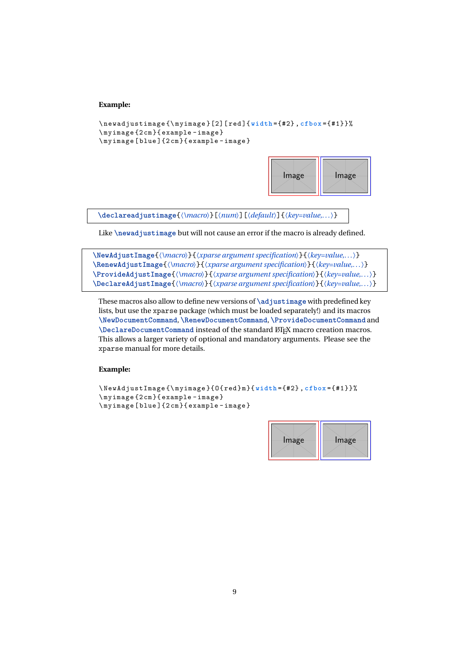## **Example:**

```
\ newadjustimage {\ myimage }[2][ red ]{ width ={#2} , cfbox ={#1}}%
\ myimage {2 cm }{ example - image }
\ myimage [ blue ]{2 cm }{ example - image }
```


**\declareadjustimage**{〈*\macro*〉}[〈*num*〉][〈*default*〉]{〈*key=value,. . .*〉}

Like **\newadjustimage** but will not cause an error if the macro is already defined.

**\NewAdjustImage**{〈*\macro*〉}{〈*xparse argument specification*〉}{〈*key=value,. . .*〉} **\RenewAdjustImage**{〈*\macro*〉}{〈*xparse argument specification*〉}{〈*key=value,. . .*〉} **\ProvideAdjustImage**{〈*\macro*〉}{〈*xparse argument specification*〉}{〈*key=value,. . .*〉} **\DeclareAdjustImage**{〈*\macro*〉}{〈*xparse argument specification*〉}{〈*key=value,. . .*〉}

These macros also allow to define new versions of **\adjustimage** with predefined key lists, but use the xparse package (which must be loaded separately!) and its macros **\NewDocumentCommand**, **\RenewDocumentCommand**, **\ProvideDocumentCommand** and **\DeclareDocumentCommand instead of the standard LATEX macro creation macros.** This allows a larger variety of optional and mandatory arguments. Please see the xparse manual for more details.

## **Example:**

```
\ NewAdjustImage {\ myimage }{ O { red } m }{ width ={#2} , cfbox ={#1}}%
\ myimage {2 cm }{ example - image }
\ myimage [ blue ]{2 cm }{ example - image }
```
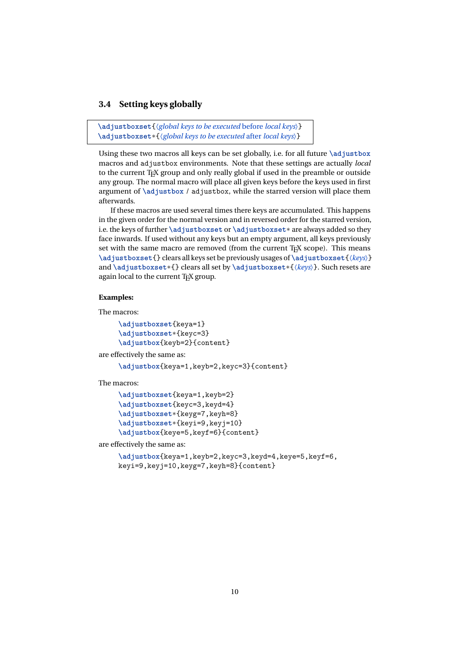## <span id="page-9-0"></span>**3.4 Setting keys globally**

```
\adjustboxset{〈global keys to be executed before local keys〉}
\adjustboxset*{〈global keys to be executed after local keys〉}
```
Using these two macros all keys can be set globally, i.e. for all future **\adjustbox** macros and adjustbox environments. Note that these settings are actually *local* to the current T<sub>EX</sub> group and only really global if used in the preamble or outside any group. The normal macro will place all given keys before the keys used in first argument of **\adjustbox** / adjustbox, while the starred version will place them afterwards.

If these macros are used several times there keys are accumulated. This happens in the given order for the normal version and in reversed order for the starred version, i.e. the keys of further **\adjustboxset** or **\adjustboxset**\* are always added so they face inwards. If used without any keys but an empty argument, all keys previously set with the same macro are removed (from the current T<sub>EX</sub> scope). This means **\adjustboxset**{} clears all keys set be previously usages of **\adjustboxset**{〈*keys*〉} and **\adjustboxset**\*{} clears all set by **\adjustboxset**\*{〈*keys*〉}. Such resets are again local to the current TFX group.

#### **Examples:**

The macros:

```
\adjustboxset{keya=1}
\adjustboxset*{keyc=3}
\adjustbox{keyb=2}{content}
```
are effectively the same as:

**\adjustbox**{keya=1,keyb=2,keyc=3}{content}

The macros:

```
\adjustboxset{keya=1,keyb=2}
\adjustboxset{keyc=3,keyd=4}
\adjustboxset*{keyg=7,keyh=8}
\adjustboxset*{keyi=9,keyj=10}
\adjustbox{keye=5,keyf=6}{content}
```
are effectively the same as:

```
\adjustbox{keya=1,keyb=2,keyc=3,keyd=4,keye=5,keyf=6,
keyi=9,keyj=10,keyg=7,keyh=8}{content}
```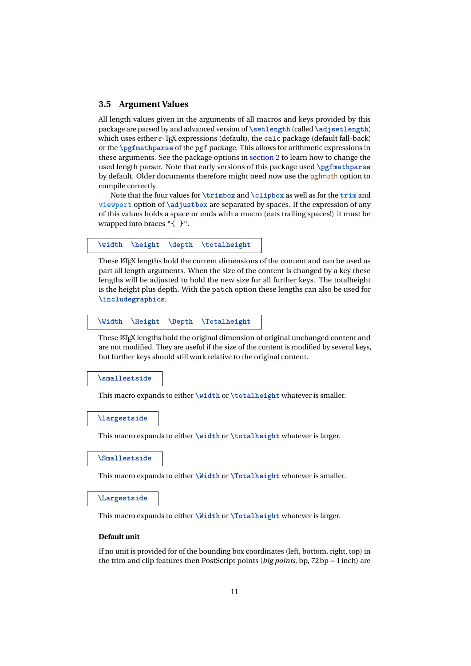### <span id="page-10-0"></span>**3.5 Argument Values**

All length values given in the arguments of all macros and keys provided by this package are parsed by and advanced version of **\setlength** (called **\adjsetlength**) which uses either  $\epsilon$ -T<sub>E</sub>X expressions (default), the calc package (default fall-back) or the **\pgfmathparse** of the pgf package. This allows for arithmetic expressions in these arguments. See the package options in [section 2](#page-3-0) to learn how to change the used length parser. Note that early versions of this package used **\pgfmathparse** by default. Older documents therefore might need now use the pgfmath option to compile correctly.

Note that the four values for **\trimbox** and **\clipbox** as well as for the **trim** and **viewport** option of **\adjustbox** are separated by spaces. If the expression of any of this values holds a space or ends with a macro (eats trailing spaces!) it must be wrapped into braces "{ }".

```
\width \height \depth \totalheight
```
These LATEX lengths hold the current dimensions of the content and can be used as part all length arguments. When the size of the content is changed by a key these lengths will be adjusted to hold the new size for all further keys. The totalheight is the height plus depth. With the patch option these lengths can also be used for **\includegraphics**.

```
\Width \Height \Depth \Totalheight
```
These LTFX lengths hold the original dimension of original unchanged content and are not modified. They are useful if the size of the content is modified by several keys, but further keys should still work relative to the original content.

**\smallestside**

This macro expands to either **\width** or **\totalheight** whatever is smaller.

**\largestside**

This macro expands to either **\width** or **\totalheight** whatever is larger.

**\Smallestside**

This macro expands to either **\Width** or **\Totalheight** whatever is smaller.

**\Largestside**

This macro expands to either **\Width** or **\Totalheight** whatever is larger.

## **Default unit**

If no unit is provided for of the bounding box coordinates (left, bottom, right, top) in the trim and clip features then PostScript points (*big points*, bp, 72bp = 1inch) are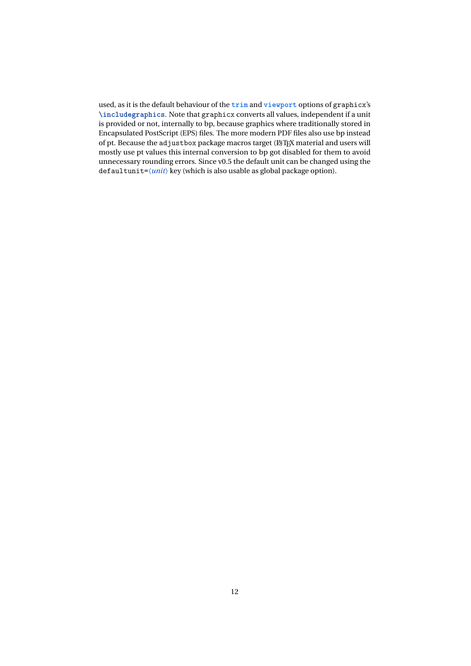used, as it is the default behaviour of the **trim** and **viewport** options of graphicx's **\includegraphics**. Note that graphicx converts all values, independent if a unit is provided or not, internally to bp, because graphics where traditionally stored in Encapsulated PostScript (EPS) files. The more modern PDF files also use bp instead of pt. Because the adjustbox package macros target (LA)TEX material and users will mostly use pt values this internal conversion to bp got disabled for them to avoid unnecessary rounding errors. Since v0.5 the default unit can be changed using the defaultunit=〈*unit*〉 key (which is also usable as global package option).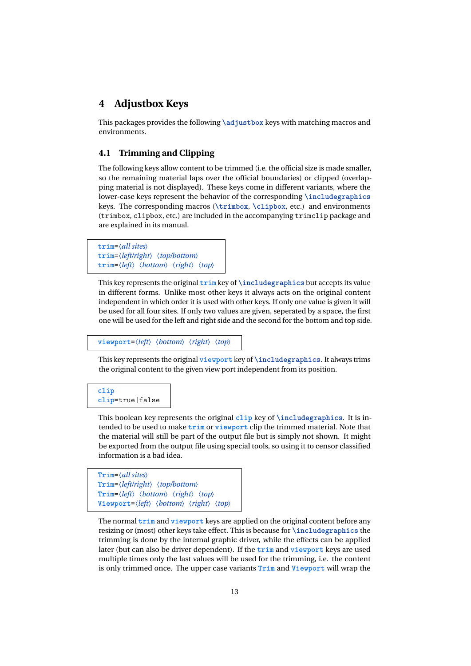## <span id="page-12-0"></span>**4 Adjustbox Keys**

This packages provides the following **\adjustbox** keys with matching macros and environments.

## <span id="page-12-1"></span>**4.1 Trimming and Clipping**

The following keys allow content to be trimmed (i.e. the official size is made smaller, so the remaining material laps over the official boundaries) or clipped (overlapping material is not displayed). These keys come in different variants, where the lower-case keys represent the behavior of the corresponding **\includegraphics** keys. The corresponding macros (**\trimbox**, **\clipbox**, etc.) and environments (trimbox, clipbox, etc.) are included in the accompanying trimclip package and are explained in its manual.

```
trim=〈all sites〉
trim=〈left/right〉 〈top/bottom〉
trim=〈left〉 〈bottom〉 〈right〉 〈top〉
```
This key represents the original **trim** key of **\includegraphics** but accepts its value in different forms. Unlike most other keys it always acts on the original content independent in which order it is used with other keys. If only one value is given it will be used for all four sites. If only two values are given, seperated by a space, the first one will be used for the left and right side and the second for the bottom and top side.

```
viewport=〈left〉 〈bottom〉 〈right〉 〈top〉
```
This key represents the original **viewport** key of **\includegraphics**. It always trims the original content to the given view port independent from its position.

```
clip
clip=true|false
```
This boolean key represents the original **clip** key of **\includegraphics**. It is intended to be used to make **trim** or **viewport** clip the trimmed material. Note that the material will still be part of the output file but is simply not shown. It might be exported from the output file using special tools, so using it to censor classified information is a bad idea.

```
Trim=〈all sites〉
Trim=〈left/right〉 〈top/bottom〉
Trim=〈left〉 〈bottom〉 〈right〉 〈top〉
Viewport=〈left〉 〈bottom〉 〈right〉 〈top〉
```
The normal **trim** and **viewport** keys are applied on the original content before any resizing or (most) other keys take effect. This is because for **\includegraphics** the trimming is done by the internal graphic driver, while the effects can be applied later (but can also be driver dependent). If the **trim** and **viewport** keys are used multiple times only the last values will be used for the trimming, i.e. the content is only trimmed once. The upper case variants **Trim** and **Viewport** will wrap the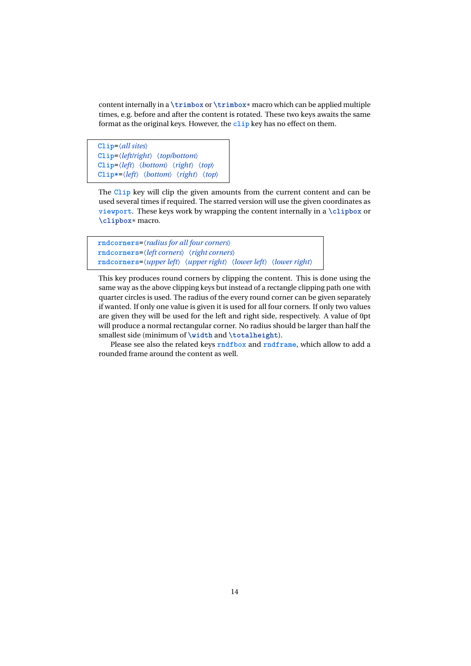content internally in a **\trimbox** or **\trimbox**\* macro which can be applied multiple times, e.g. before and after the content is rotated. These two keys awaits the same format as the original keys. However, the **clip** key has no effect on them.

**Clip**=〈*all sites*〉 **Clip**=〈*left/right*〉 〈*top/bottom*〉 **Clip**=〈*left*〉 〈*bottom*〉 〈*right*〉 〈*top*〉 **Clip\***=〈*left*〉 〈*bottom*〉 〈*right*〉 〈*top*〉

The **Clip** key will clip the given amounts from the current content and can be used several times if required. The starred version will use the given coordinates as **viewport**. These keys work by wrapping the content internally in a **\clipbox** or **\clipbox**\* macro.

```
rndcorners=〈radius for all four corners〉
rndcorners=〈left corners〉 〈right corners〉
rndcorners=〈upper left〉 〈upper right〉 〈lower left〉 〈lower right〉
```
This key produces round corners by clipping the content. This is done using the same way as the above clipping keys but instead of a rectangle clipping path one with quarter circles is used. The radius of the every round corner can be given separately if wanted. If only one value is given it is used for all four corners. If only two values are given they will be used for the left and right side, respectively. A value of 0pt will produce a normal rectangular corner. No radius should be larger than half the smallest side (minimum of **\width** and **\totalheight**).

Please see also the related keys **rndfbox** and **rndframe**, which allow to add a rounded frame around the content as well.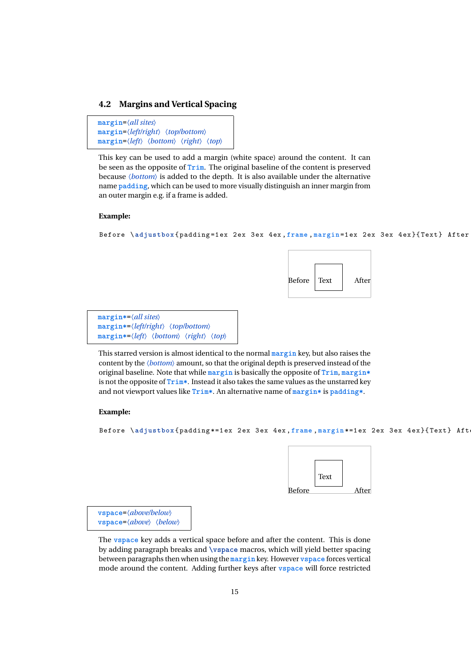## <span id="page-14-0"></span>**4.2 Margins and Vertical Spacing**

```
margin=〈all sites〉
margin=〈left/right〉 〈top/bottom〉
margin=〈left〉 〈bottom〉 〈right〉 〈top〉
```
This key can be used to add a margin (white space) around the content. It can be seen as the opposite of **Trim**. The original baseline of the content is preserved because 〈*bottom*〉 is added to the depth. It is also available under the alternative name **padding**, which can be used to more visually distinguish an inner margin from an outer margin e.g. if a frame is added.

## **Example:**

```
Before \ adjustbox { padding =1 ex 2 ex 3 ex 4 ex ,frame , margin =1 ex 2 ex 3 ex 4 ex }{ Text } After
```

| Before | Text | After |
|--------|------|-------|

**margin\***=〈*all sites*〉 **margin\***=〈*left/right*〉 〈*top/bottom*〉 **margin\***=〈*left*〉 〈*bottom*〉 〈*right*〉 〈*top*〉

This starred version is almost identical to the normal **margin** key, but also raises the content by the 〈*bottom*〉 amount, so that the original depth is preserved instead of the original baseline. Note that while **margin** is basically the opposite of **Trim**, **margin\*** is not the opposite of **Trim\***. Instead it also takes the same values as the unstarred key and not viewport values like **Trim\***. An alternative name of **margin\*** is **padding\***.

#### **Example:**

Before \ **adjustbox** { padding \*=1 ex 2 ex 3 ex 4 ex ,**frame** , **margin** \*=1 ex 2 ex 3 ex 4 ex }{ Text } After

|               | Text |       |
|---------------|------|-------|
| <b>Before</b> |      | After |

**vspace**=〈*above/below*〉 **vspace**=〈*above*〉 〈*below*〉

The **vspace** key adds a vertical space before and after the content. This is done by adding paragraph breaks and **\vspace** macros, which will yield better spacing between paragraphs then when using the **margin** key. However **vspace** forces vertical mode around the content. Adding further keys after **vspace** will force restricted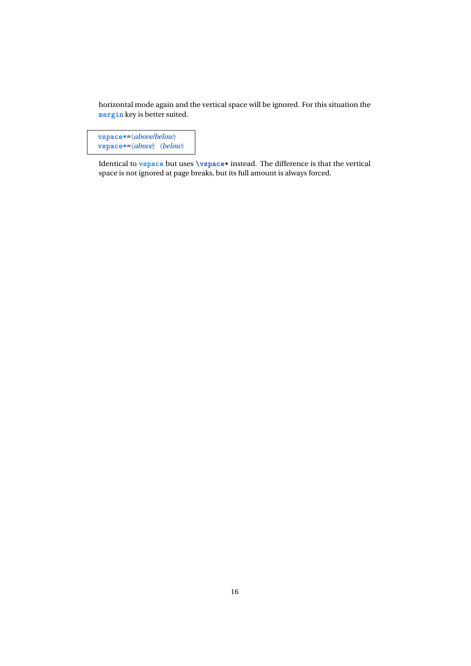horizontal mode again and the vertical space will be ignored. For this situation the **margin** key is better suited.

**vspace\***=〈*above/below*〉 **vspace\***=〈*above*〉 〈*below*〉

Identical to **vspace** but uses **\vspace**\* instead. The difference is that the vertical space is not ignored at page breaks, but its full amount is always forced.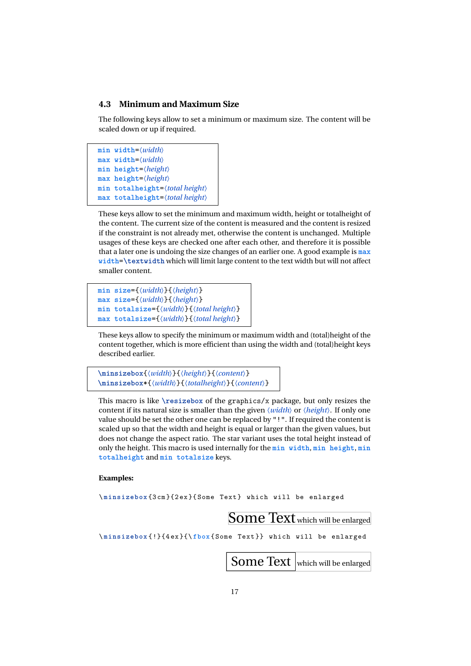#### <span id="page-16-0"></span>**4.3 Minimum and Maximum Size**

The following keys allow to set a minimum or maximum size. The content will be scaled down or up if required.

```
min width=〈width〉
max width=〈width〉
min height=〈height〉
max height=〈height〉
min totalheight=〈total height〉
max totalheight=〈total height〉
```
These keys allow to set the minimum and maximum width, height or totalheight of the content. The current size of the content is measured and the content is resized if the constraint is not already met, otherwise the content is unchanged. Multiple usages of these keys are checked one after each other, and therefore it is possible that a later one is undoing the size changes of an earlier one. A good example is **max width**=**\textwidth** which will limit large content to the text width but will not affect smaller content.

```
min size={〈width〉}{〈height〉}
max size={〈width〉}{〈height〉}
min totalsize={〈width〉}{〈total height〉}
max totalsize={〈width〉}{〈total height〉}
```
These keys allow to specify the minimum or maximum width and (total)height of the content together, which is more efficient than using the width and (total)height keys described earlier.

```
\minsizebox{〈width〉}{〈height〉}{〈content〉}
\minsizebox*{〈width〉}{〈totalheight〉}{〈content〉}
```
This macro is like **\resizebox** of the graphics/x package, but only resizes the content if its natural size is smaller than the given 〈*width*〉 or 〈*height*〉. If only one value should be set the other one can be replaced by "!". If required the content is scaled up so that the width and height is equal or larger than the given values, but does not change the aspect ratio. The star variant uses the total height instead of only the height. This macro is used internally for the **min width**, **min height**, **min totalheight** and **min totalsize** keys.

#### **Examples:**

\ **minsizebox** {3 cm }{2 ex }{ Some Text } which will be enlarged

Some Text which will be enlarged

\ **minsizebox** {!}{4 ex }{\ **fbox** { Some Text }} which will be enlarged

Some Text which will be enlarged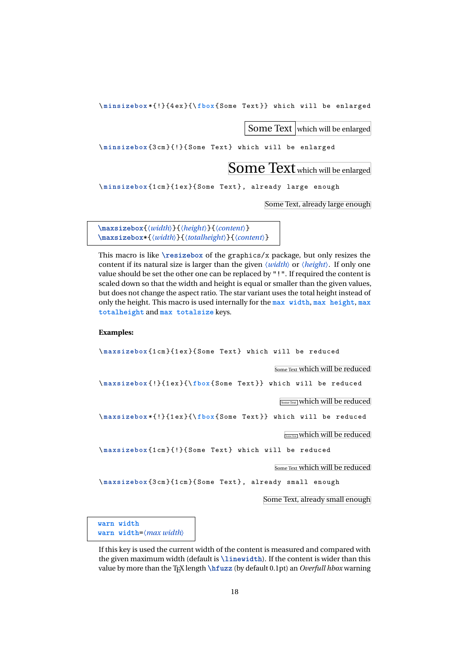\ **minsizebox** \*{!}{4 ex }{\ **fbox** { Some Text }} which will be enlarged

Some Text which will be enlarged

\ **minsizebox** {3 cm }{!}{ Some Text } which will be enlarged

Some Text which will be enlarged

\ **minsizebox** {1 cm }{1 ex }{ Some Text } , already large enough

Some Text, already large enough

**\maxsizebox**{〈*width*〉}{〈*height*〉}{〈*content*〉} **\maxsizebox**\*{〈*width*〉}{〈*totalheight*〉}{〈*content*〉}

This macro is like **\resizebox** of the graphics/x package, but only resizes the content if its natural size is larger than the given 〈*width*〉 or 〈*height*〉. If only one value should be set the other one can be replaced by "!". If required the content is scaled down so that the width and height is equal or smaller than the given values, but does not change the aspect ratio. The star variant uses the total height instead of only the height. This macro is used internally for the **max width**, **max height**, **max totalheight** and **max totalsize** keys.

#### **Examples:**

\ **maxsizebox** {1 cm }{1 ex }{ Some Text } which will be reduced

Some Text which will be reduced

\ **maxsizebox** {!}{1 ex }{\ **fbox** { Some Text }} which will be reduced

 $\sqrt{\frac{1}{\text{Some Text}}}$  which will be reduced

\ **maxsizebox** \*{!}{1 ex }{\ **fbox** { Some Text }} which will be reduced

 $\sqrt{\frac{Some\text{Text}}{Some\text{Text}}}$  which will be reduced

\ **maxsizebox** {1 cm }{!}{ Some Text } which will be reduced

Some Text which will be reduced

\ **maxsizebox** {3 cm }{1 cm }{ Some Text } , already small enough

Some Text, already small enough

**warn width warn width**=〈*max width*〉

If this key is used the current width of the content is measured and compared with the given maximum width (default is **\linewidth**). If the content is wider than this value by more than the TEX length **\hfuzz** (by default 0.1pt) an *Overfull hbox* warning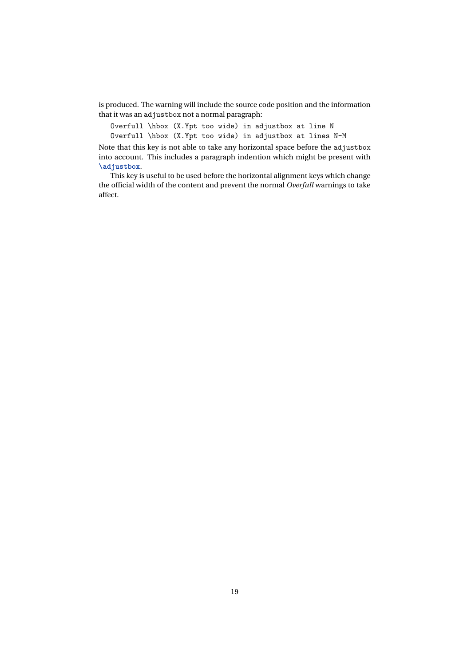is produced. The warning will include the source code position and the information that it was an adjustbox not a normal paragraph:

Overfull \hbox (X.Ypt too wide) in adjustbox at line N Overfull \hbox (X.Ypt too wide) in adjustbox at lines N-M

Note that this key is not able to take any horizontal space before the adjustbox into account. This includes a paragraph indention which might be present with **\adjustbox**.

This key is useful to be used before the horizontal alignment keys which change the official width of the content and prevent the normal *Overfull* warnings to take affect.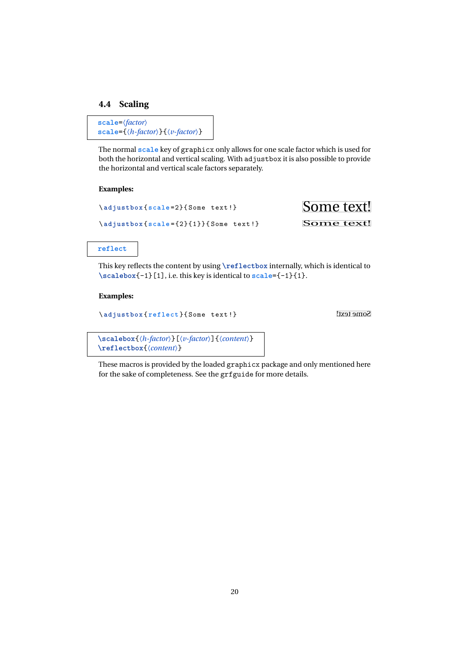#### <span id="page-19-0"></span>**4.4 Scaling**

```
scale=〈factor〉
scale={〈h-factor〉}{〈v-factor〉}
```
The normal **scale** key of graphicx only allows for one scale factor which is used for both the horizontal and vertical scaling. With adjustbox it is also possible to provide the horizontal and vertical scale factors separately.

#### **Examples:**

```
\adjustbox{scale=2}{Some text!} Some Some\adjustbox{scale={2}{1}}{Some text!} Some text!
```
## **reflect**

This key reflects the content by using **\reflectbox** internally, which is identical to **\scalebox**{-1}[1], i.e. this key is identical to **scale**={-1}{1}.

#### **Examples:**

```
\ adjustbox { reflect }{ Some text !} Some text!
```

```
\scalebox{〈h-factor〉}[〈v-factor〉]{〈content〉}
\reflectbox{〈content〉}
```
These macros is provided by the loaded graphicx package and only mentioned here for the sake of completeness. See the grfguide for more details.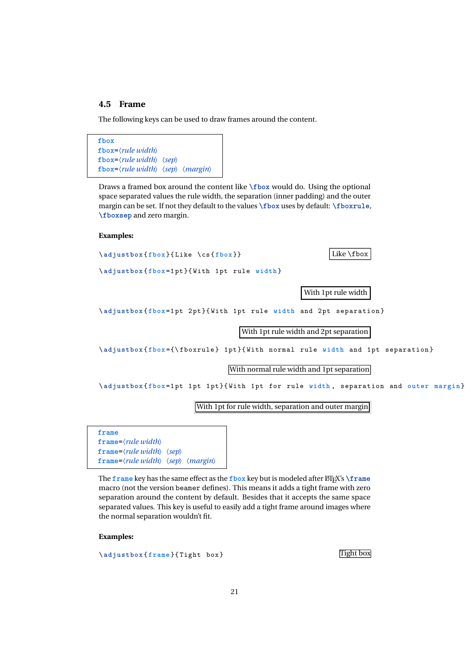## <span id="page-20-0"></span>**4.5 Frame**

The following keys can be used to draw frames around the content.

**fbox fbox**=〈*rule width*〉 **fbox**=〈*rule width*〉 〈*sep*〉 **fbox**=〈*rule width*〉 〈*sep*〉 〈*margin*〉

Draws a framed box around the content like **\fbox** would do. Using the optional space separated values the rule width, the separation (inner padding) and the outer margin can be set. If not they default to the values **\fbox** uses by default: **\fboxrule**, **\fboxsep** and zero margin.

#### **Examples:**

 $\{ \alpha \} \{ \text{Like } \cos\{\text{fbox}\} \}$  Like \cs { **f** box } } \ **adjustbox** { **fbox** =1 pt }{ With 1 pt rule **width** } With 1pt rule width \adjustbox { fbox=1pt 2pt } { With 1pt rule width and 2pt separation } With 1pt rule width and 2pt separation \ **adjustbox** { **fbox** ={\ fboxrule } 1 pt }{ With normal rule **width** and 1 pt separation } With normal rule width and 1pt separation \ **adjustbox** { **fbox** =1 pt 1 pt 1 pt }{ With 1 pt for rule **width** , separation and **outer margin** }

## With 1pt for rule width, separation and outer margin

| frame                                                                                   |  |
|-----------------------------------------------------------------------------------------|--|
| $frame='rule width$                                                                     |  |
| $frame='rule width \ \langle sep \rangle$                                               |  |
| frame= $\langle rule \, width \rangle \, \langle sep \rangle \, \langle margin \rangle$ |  |

The frame key has the same effect as the fbox key but is modeled after LT<sub>F</sub>X's \frame macro (not the version beamer defines). This means it adds a tight frame with zero separation around the content by default. Besides that it accepts the same space separated values. This key is useful to easily add a tight frame around images where the normal separation wouldn't fit.

#### **Examples:**

\cdjustbox {  ${\tt frame}$  } { Tight box } Tight box }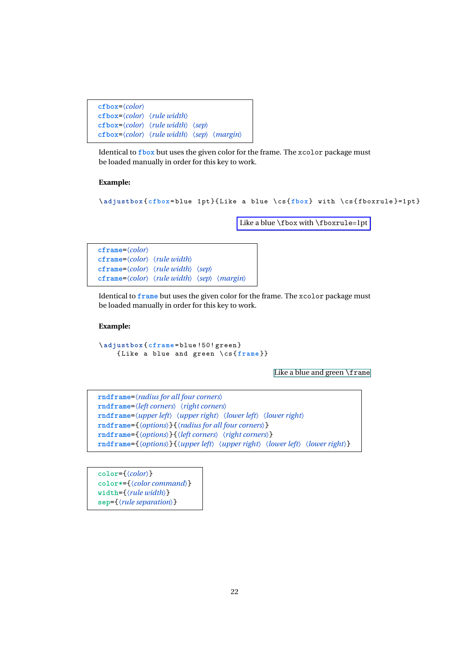| $cfbox = \langle color \rangle$                                                                    |  |  |
|----------------------------------------------------------------------------------------------------|--|--|
| $cfbox='color\angle$ (rule width)                                                                  |  |  |
| $\text{cfbox}=\langle color \rangle$ $\langle rule \, width \rangle$ $\langle sep \rangle$         |  |  |
| $cfbox='color\angle\langle color\rangle$ (rule width) $\langle sep\rangle$ $\langle margin\rangle$ |  |  |

Identical to **fbox** but uses the given color for the frame. The xcolor package must be loaded manually in order for this key to work.

#### **Example:**

```
\adjustbox{cfbox=blue 1pt}{Like a blue \cs{fbox} with \cs{fboxrule}=1pt}
```
Like a blue \fbox with \fboxrule=1pt

| $cfname = \langle color \rangle$                                                                                  |  |  |
|-------------------------------------------------------------------------------------------------------------------|--|--|
| $cf$ rame= $\langle color \rangle$ $\langle rule \, width \rangle$                                                |  |  |
| $cfname = \langle color \rangle$ $\langle rule width \rangle$ $\langle sep \rangle$                               |  |  |
| $cf$ rame= $\langle color \rangle$ $\langle rule \, width \rangle$ $\langle sep \rangle$ $\langle margin \rangle$ |  |  |

Identical to **frame** but uses the given color for the frame. The xcolor package must be loaded manually in order for this key to work.

#### **Example:**

```
\ adjustbox { cframe = blue !50! green }
    { Like a blue and green \ cs { frame }}
```
Like a blue and green \frame

```
rndframe=〈radius for all four corners〉
rndframe=〈left corners〉 〈right corners〉
rndframe=〈upper left〉 〈upper right〉 〈lower left〉 〈lower right〉
rndframe={〈options〉}{〈radius for all four corners〉}
rndframe={〈options〉}{〈left corners〉 〈right corners〉}
rndframe={〈options〉}{〈upper left〉 〈upper right〉 〈lower left〉 〈lower right〉}
```
**color**={〈*color*〉} **color\***={〈*color command*〉} **width**={〈*rule width*〉} **sep**={〈*rule separation*〉}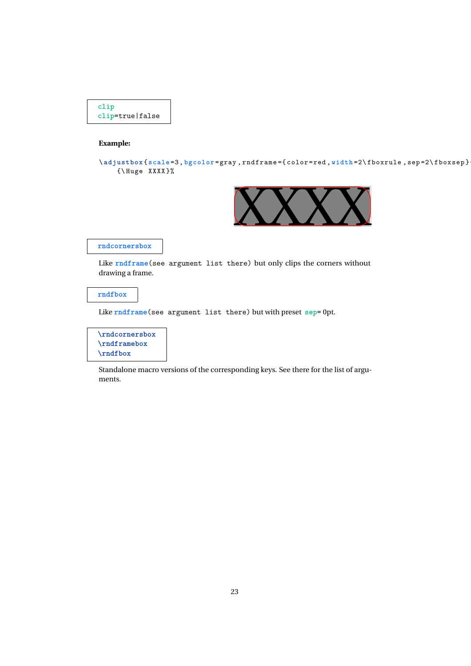```
clip
clip=true|false
```
#### **Example:**

```
\adjustbox{scale=3,bgcolor=gray,rndframe={color=red,width=2\fboxrule,sep=2\fboxsep}
    {\ Huge XXXX }%
```


#### **rndcornersbox**

Like **rndframe**(see argument list there) but only clips the corners without drawing a frame.

#### **rndfbox**

Like **rndframe**(see argument list there) but with preset **sep**= 0pt.



Standalone macro versions of the corresponding keys. See there for the list of arguments.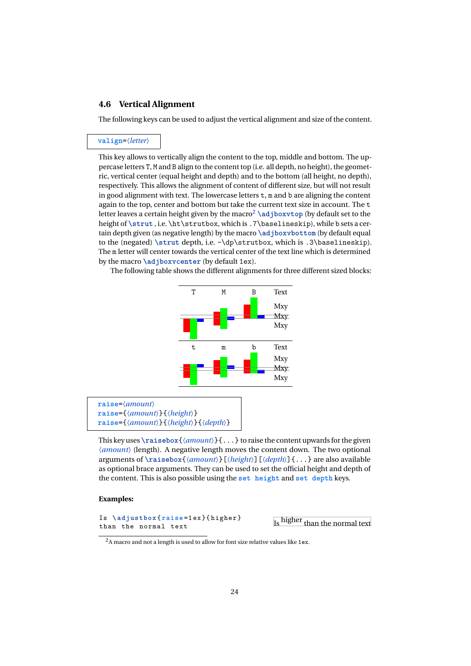## <span id="page-23-0"></span>**4.6 Vertical Alignment**

The following keys can be used to adjust the vertical alignment and size of the content.

#### **valign**=〈*letter*〉

This key allows to vertically align the content to the top, middle and bottom. The uppercase letters T, M and B align to the content top (i.e. all depth, no height), the geometric, vertical center (equal height and depth) and to the bottom (all height, no depth), respectively. This allows the alignment of content of different size, but will not result in good alignment with text. The lowercase letters t, m and b are aligning the content again to the top, center and bottom but take the current text size in account. The t letter leaves a certain height given by the macro<sup>[2](#page-23-1)</sup> \adjboxvtop (by default set to the height of **\strut** , i.e. \ht\strutbox, which is .7\baselineskip), while b sets a certain depth given (as negative length) by the macro **\adjboxvbottom** (by default equal to the (negated) **\strut** depth, i.e. -\dp\strutbox, which is .3\baselineskip). The m letter will center towards the vertical center of the text line which is determined by the macro **\adjboxvcenter** (by default 1ex).

The following table shows the different alignments for three different sized blocks:



**raise**=〈*amount*〉 **raise**={〈*amount*〉}{〈*height*〉} **raise**={〈*amount*〉}{〈*height*〉}{〈*depth*〉}

This key uses  $\ra{amount}$  {...} to raise the content upwards for the given 〈*amount*〉 (length). A negative length moves the content down. The two optional arguments of **\raisebox**{〈*amount*〉}[〈*height*〉][〈*depth*〉]{...} are also available as optional brace arguments. They can be used to set the official height and depth of the content. This is also possible using the **set height** and **set depth** keys.

#### **Examples:**

```
Is \ adjustbox { raise =1 ex }{ higher }
Is \adjustbox{raise=1ex}{higher}<br>than the normal text \frac{1}{15} ligher than the normal text
```
<span id="page-23-1"></span> $2A$  macro and not a length is used to allow for font size relative values like 1ex.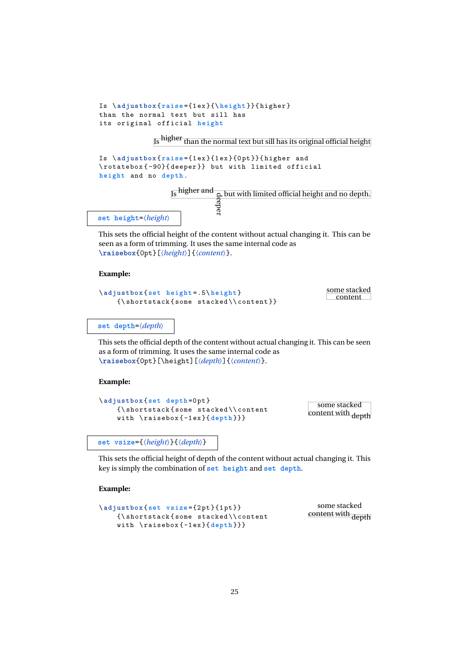```
Is \ adjustbox { raise ={1 ex }{\ height }}{ higher }
than the normal text but sill has
its original official height
```
Is higher than the normal text but sill has its original official height

```
Is \ adjustbox { raise ={1 ex }{1 ex }{0 pt }}{ higher and
\ rotatebox { -90}{ deeper }} but with limited official
height and no depth .
```
 $\frac{1}{\text{Is}}$  higher and  $\frac{1}{\text{Is}}$  but with limited official height and no depth.

**set height**=〈*height*〉

This sets the official height of the content without actual changing it. This can be seen as a form of trimming. It uses the same internal code as **\raisebox**{0pt}[〈*height*〉]{〈*content*〉}.

#### **Example:**

```
\ adjustbox { set height =.5\ height }
    {\ shortstack { some stacked \\ content }}
```
some stacked content

**set depth**=〈*depth*〉

This sets the official depth of the content without actual changing it. This can be seen as a form of trimming. It uses the same internal code as **\raisebox**{0pt}[\height][〈*depth*〉]{〈*content*〉}.

#### **Example:**

```
\ adjustbox { set depth =0 pt }
   {\hbox{\sf \char'1}}with \ raisebox { -1 ex }{ depth }}}
```
some stacked content with depth

**set vsize**={〈*height*〉}{〈*depth*〉}

This sets the official height of depth of the content without actual changing it. This key is simply the combination of **set height** and **set depth**.

## **Example:**

```
\ adjustbox { set vsize ={2 pt }{1 pt }}
    \{\ \mathtt{shortstack} \} stacked \\ content
    with \raisebox{-lex}{\text{depth}}some stacked
                                                          content with depth
```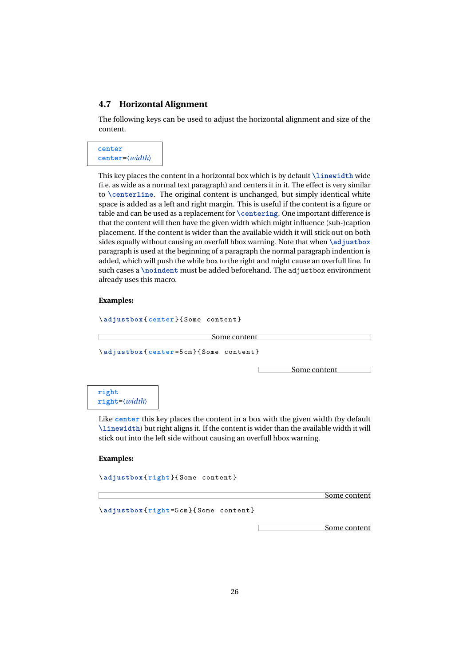### <span id="page-25-0"></span>**4.7 Horizontal Alignment**

The following keys can be used to adjust the horizontal alignment and size of the content.

**center center**=〈*width*〉

This key places the content in a horizontal box which is by default **\linewidth** wide (i.e. as wide as a normal text paragraph) and centers it in it. The effect is very similar to **\centerline**. The original content is unchanged, but simply identical white space is added as a left and right margin. This is useful if the content is a figure or table and can be used as a replacement for **\centering**. One important difference is that the content will then have the given width which might influence (sub-)caption placement. If the content is wider than the available width it will stick out on both sides equally without causing an overfull hbox warning. Note that when **\adjustbox** paragraph is used at the beginning of a paragraph the normal paragraph indention is added, which will push the while box to the right and might cause an overfull line. In such cases a **\noindent** must be added beforehand. The adjustbox environment already uses this macro.

#### **Examples:**

\ **adjustbox** { **center** }{ Some content }

Some content \ **adjustbox** { **center** =5 cm }{ Some content } Some content **right right**=〈*width*〉 Like **center** this key places the content in a box with the given width (by default

**\linewidth**) but right aligns it. If the content is wider than the available width it will stick out into the left side without causing an overfull hbox warning.

#### **Examples:**

| \adjustbox{right}{Some content}       |              |
|---------------------------------------|--------------|
|                                       | Some content |
| \adjustbox {right=5cm} {Some content} |              |
|                                       | Some content |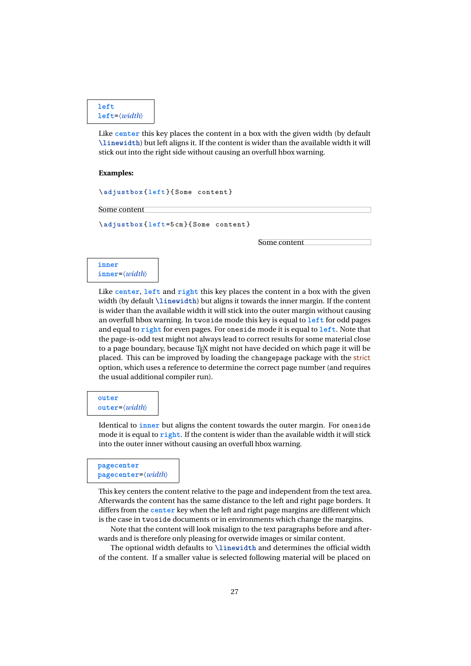**left left**=〈*width*〉

Like **center** this key places the content in a box with the given width (by default **\linewidth**) but left aligns it. If the content is wider than the available width it will stick out into the right side without causing an overfull hbox warning.

#### **Examples:**

```
\ adjustbox { left }{ Some content }
```
Some content

\ **adjustbox** { **left** =5 cm }{ Some content }

Some content

## **inner inner**=〈*width*〉

Like **center**, **left** and **right** this key places the content in a box with the given width (by default **\linewidth**) but aligns it towards the inner margin. If the content is wider than the available width it will stick into the outer margin without causing an overfull hbox warning. In twoside mode this key is equal to **left** for odd pages and equal to **right** for even pages. For oneside mode it is equal to **left**. Note that the page-is-odd test might not always lead to correct results for some material close to a page boundary, because T<sub>E</sub>X might not have decided on which page it will be placed. This can be improved by loading the changepage package with the strict option, which uses a reference to determine the correct page number (and requires the usual additional compiler run).

#### **outer outer**=〈*width*〉

Identical to **inner** but aligns the content towards the outer margin. For oneside mode it is equal to **right**. If the content is wider than the available width it will stick into the outer inner without causing an overfull hbox warning.

## **pagecenter pagecenter**=〈*width*〉

This key centers the content relative to the page and independent from the text area. Afterwards the content has the same distance to the left and right page borders. It differs from the **center** key when the left and right page margins are different which is the case in twoside documents or in environments which change the margins.

Note that the content will look misalign to the text paragraphs before and afterwards and is therefore only pleasing for overwide images or similar content.

The optional width defaults to **\linewidth** and determines the official width of the content. If a smaller value is selected following material will be placed on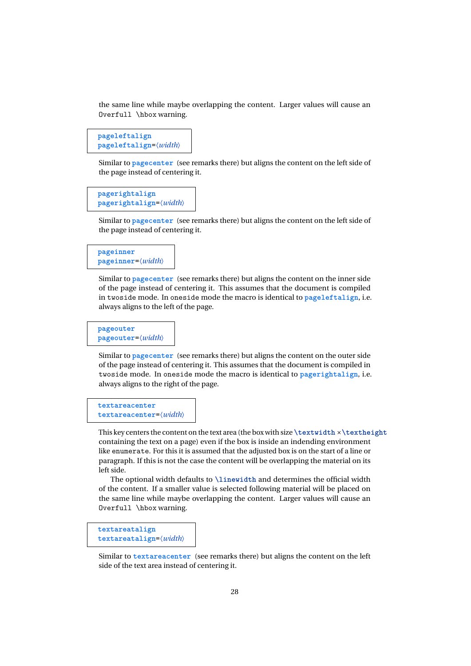the same line while maybe overlapping the content. Larger values will cause an Overfull \hbox warning.

```
pageleftalign
pageleftalign=〈width〉
```
Similar to **pagecenter** (see remarks there) but aligns the content on the left side of the page instead of centering it.

```
pagerightalign
pagerightalign=〈width〉
```
Similar to **pagecenter** (see remarks there) but aligns the content on the left side of the page instead of centering it.

```
pageinner
pageinner=〈width〉
```
Similar to **pagecenter** (see remarks there) but aligns the content on the inner side of the page instead of centering it. This assumes that the document is compiled in twoside mode. In oneside mode the macro is identical to **pageleftalign**, i.e. always aligns to the left of the page.

```
pageouter
pageouter=〈width〉
```
Similar to **pagecenter** (see remarks there) but aligns the content on the outer side of the page instead of centering it. This assumes that the document is compiled in twoside mode. In oneside mode the macro is identical to **pagerightalign**, i.e. always aligns to the right of the page.

```
textareacenter
textareacenter=〈width〉
```
This key centers the content on the text area (the box with size **\textwidth** ×**\textheight** containing the text on a page) even if the box is inside an indending environment like enumerate. For this it is assumed that the adjusted box is on the start of a line or paragraph. If this is not the case the content will be overlapping the material on its left side.

The optional width defaults to **\linewidth** and determines the official width of the content. If a smaller value is selected following material will be placed on the same line while maybe overlapping the content. Larger values will cause an Overfull \hbox warning.

```
textareatalign
textareatalign=〈width〉
```
Similar to **textareacenter** (see remarks there) but aligns the content on the left side of the text area instead of centering it.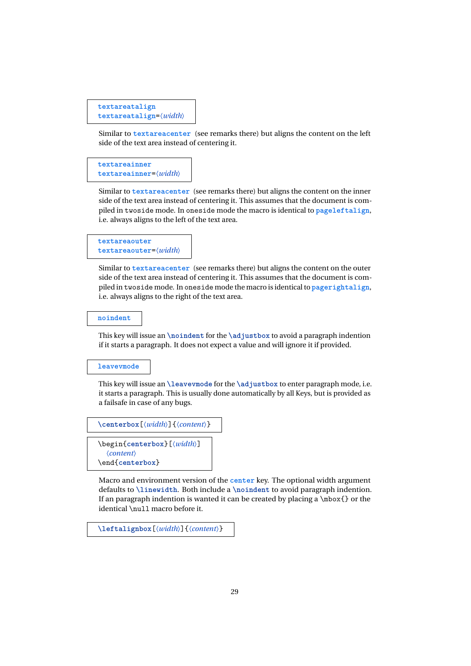```
textareatalign
textareatalign=〈width〉
```
Similar to **textareacenter** (see remarks there) but aligns the content on the left side of the text area instead of centering it.

**textareainner textareainner**=〈*width*〉

Similar to **textareacenter** (see remarks there) but aligns the content on the inner side of the text area instead of centering it. This assumes that the document is compiled in twoside mode. In oneside mode the macro is identical to **pageleftalign**, i.e. always aligns to the left of the text area.

```
textareaouter
textareaouter=〈width〉
```
Similar to **textareacenter** (see remarks there) but aligns the content on the outer side of the text area instead of centering it. This assumes that the document is compiled in twoside mode. In oneside mode the macro is identical to **pagerightalign**, i.e. always aligns to the right of the text area.

#### **noindent**

This key will issue an **\noindent** for the **\adjustbox** to avoid a paragraph indention if it starts a paragraph. It does not expect a value and will ignore it if provided.

#### **leavevmode**

This key will issue an **\leavevmode** for the **\adjustbox** to enter paragraph mode, i.e. it starts a paragraph. This is usually done automatically by all Keys, but is provided as a failsafe in case of any bugs.

**\centerbox**[〈*width*〉]{〈*content*〉}



Macro and environment version of the **center** key. The optional width argument defaults to **\linewidth**. Both include a **\noindent** to avoid paragraph indention. If an paragraph indention is wanted it can be created by placing a  $\mbox{hbox}$  or the identical \null macro before it.

**\leftalignbox**[〈*width*〉]{〈*content*〉}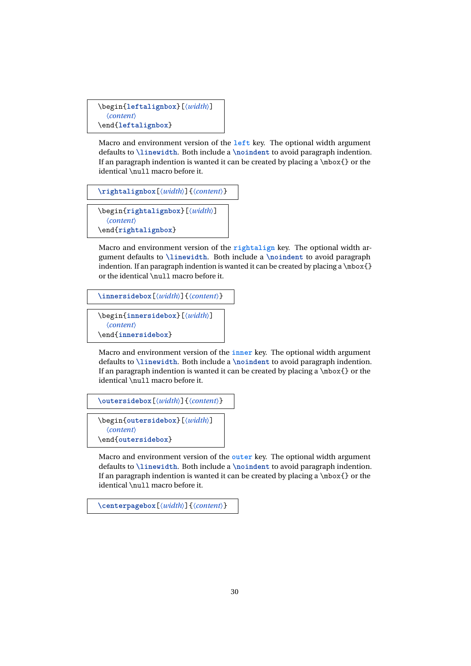```
\begin{leftalignbox}[〈width〉]
  〈content〉
\end{leftalignbox}
```
Macro and environment version of the **left** key. The optional width argument defaults to **\linewidth**. Both include a **\noindent** to avoid paragraph indention. If an paragraph indention is wanted it can be created by placing a  $\mbox{box}$  or the identical \null macro before it.

**\rightalignbox**[〈*width*〉]{〈*content*〉}

```
\begin{rightalignbox}[〈width〉]
  〈content〉
\end{rightalignbox}
```
Macro and environment version of the **rightalign** key. The optional width argument defaults to **\linewidth**. Both include a **\noindent** to avoid paragraph indention. If an paragraph indention is wanted it can be created by placing a  $\mbox{box}$  } or the identical \null macro before it.

```
\innersidebox[〈width〉]{〈content〉}
```

```
\begin{innersidebox}[〈width〉]
  〈content〉
\end{innersidebox}
```
Macro and environment version of the **inner** key. The optional width argument defaults to **\linewidth**. Both include a **\noindent** to avoid paragraph indention. If an paragraph indention is wanted it can be created by placing a  $\mbox{hbox}$  or the identical \null macro before it.

```
\outersidebox[〈width〉]{〈content〉}
```

```
\begin{outersidebox}[〈width〉]
  〈content〉
\end{outersidebox}
```
Macro and environment version of the **outer** key. The optional width argument defaults to **\linewidth**. Both include a **\noindent** to avoid paragraph indention. If an paragraph indention is wanted it can be created by placing a \mbox{} or the identical \null macro before it.

**\centerpagebox**[〈*width*〉]{〈*content*〉}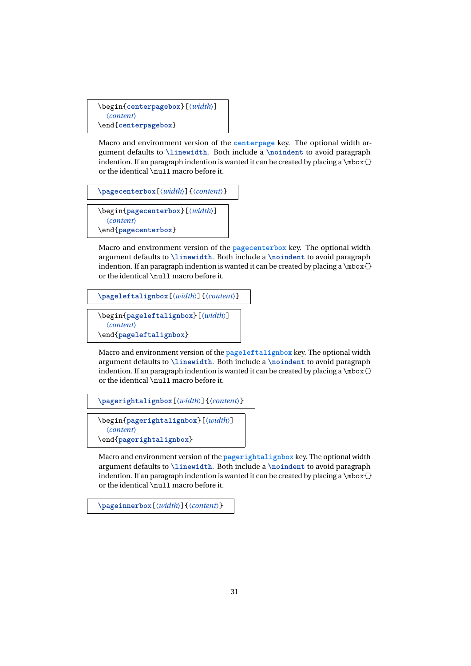```
\begin{centerpagebox}[〈width〉]
  〈content〉
\end{centerpagebox}
```
Macro and environment version of the **centerpage** key. The optional width argument defaults to **\linewidth**. Both include a **\noindent** to avoid paragraph indention. If an paragraph indention is wanted it can be created by placing a  $\mbox{\sf box}$  {} or the identical \null macro before it.

```
\pagecenterbox[〈width〉]{〈content〉}
```
\begin{**pagecenterbox**}[〈*width*〉] 〈*content*〉 \end{**pagecenterbox**}

Macro and environment version of the **pagecenterbox** key. The optional width argument defaults to **\linewidth**. Both include a **\noindent** to avoid paragraph indention. If an paragraph indention is wanted it can be created by placing a  $\mbox{box}$  } or the identical \null macro before it.

**\pageleftalignbox**[〈*width*〉]{〈*content*〉}

```
\begin{pageleftalignbox}[〈width〉]
  〈content〉
\end{pageleftalignbox}
```
Macro and environment version of the **pageleftalignbox** key. The optional width argument defaults to **\linewidth**. Both include a **\noindent** to avoid paragraph indention. If an paragraph indention is wanted it can be created by placing a  $\mbox{box}$  } or the identical \null macro before it.

```
\pagerightalignbox[〈width〉]{〈content〉}
```

```
\begin{pagerightalignbox}[〈width〉]
  〈content〉
\end{pagerightalignbox}
```
Macro and environment version of the **pagerightalignbox** key. The optional width argument defaults to **\linewidth**. Both include a **\noindent** to avoid paragraph indention. If an paragraph indention is wanted it can be created by placing a \mbox{} or the identical \null macro before it.

**\pageinnerbox**[〈*width*〉]{〈*content*〉}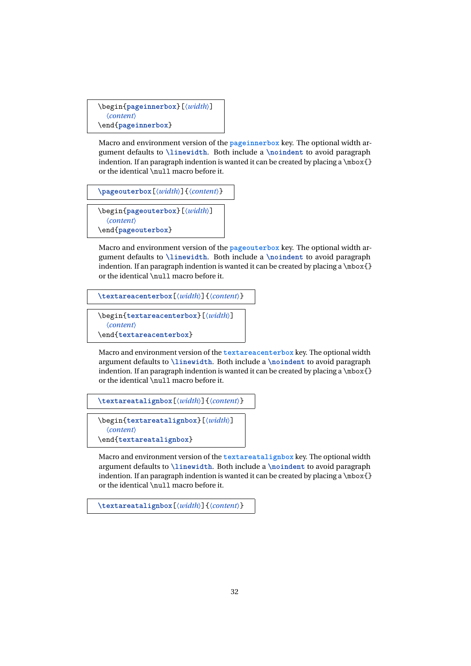```
\begin{pageinnerbox}[〈width〉]
  〈content〉
\end{pageinnerbox}
```
Macro and environment version of the **pageinnerbox** key. The optional width argument defaults to **\linewidth**. Both include a **\noindent** to avoid paragraph indention. If an paragraph indention is wanted it can be created by placing a  $\mbox{\sf box}$  {} or the identical \null macro before it.

```
\pageouterbox[〈width〉]{〈content〉}
```
\begin{**pageouterbox**}[〈*width*〉] 〈*content*〉 \end{**pageouterbox**}

Macro and environment version of the **pageouterbox** key. The optional width argument defaults to **\linewidth**. Both include a **\noindent** to avoid paragraph indention. If an paragraph indention is wanted it can be created by placing a  $\mbox{box}$  } or the identical \null macro before it.

**\textareacenterbox**[〈*width*〉]{〈*content*〉}

```
\begin{textareacenterbox}[〈width〉]
  〈content〉
\end{textareacenterbox}
```
Macro and environment version of the **textareacenterbox** key. The optional width argument defaults to **\linewidth**. Both include a **\noindent** to avoid paragraph indention. If an paragraph indention is wanted it can be created by placing a  $\mbox{box}$  } or the identical \null macro before it.

```
\textareatalignbox[〈width〉]{〈content〉}
```

```
\begin{textareatalignbox}[〈width〉]
  〈content〉
\end{textareatalignbox}
```
Macro and environment version of the **textareatalignbox** key. The optional width argument defaults to **\linewidth**. Both include a **\noindent** to avoid paragraph indention. If an paragraph indention is wanted it can be created by placing a \mbox{} or the identical \null macro before it.

**\textareatalignbox**[〈*width*〉]{〈*content*〉}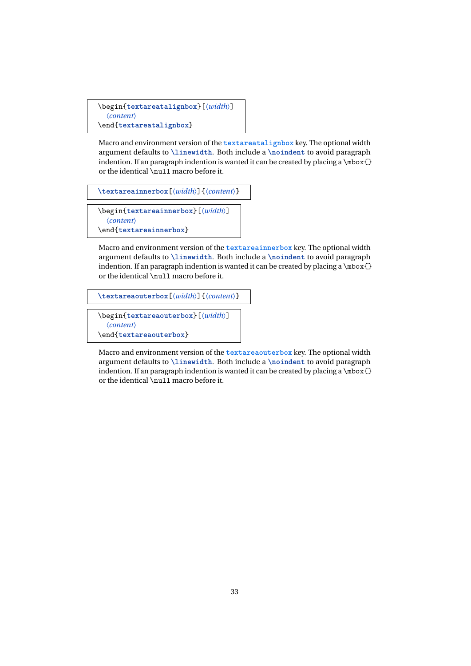```
\begin{textareatalignbox}[〈width〉]
  〈content〉
\end{textareatalignbox}
```
Macro and environment version of the **textareatalignbox** key. The optional width argument defaults to **\linewidth**. Both include a **\noindent** to avoid paragraph indention. If an paragraph indention is wanted it can be created by placing a  $\mbox{block}$ or the identical \null macro before it.

**\textareainnerbox**[〈*width*〉]{〈*content*〉}

\begin{**textareainnerbox**}[〈*width*〉] 〈*content*〉 \end{**textareainnerbox**}

Macro and environment version of the **textareainnerbox** key. The optional width argument defaults to **\linewidth**. Both include a **\noindent** to avoid paragraph indention. If an paragraph indention is wanted it can be created by placing a \mbox{} or the identical \null macro before it.

**\textareaouterbox**[〈*width*〉]{〈*content*〉}

```
\begin{textareaouterbox}[〈width〉]
  〈content〉
\end{textareaouterbox}
```
Macro and environment version of the **textareaouterbox** key. The optional width argument defaults to **\linewidth**. Both include a **\noindent** to avoid paragraph indention. If an paragraph indention is wanted it can be created by placing a  $\mbox{box} \$ or the identical \null macro before it.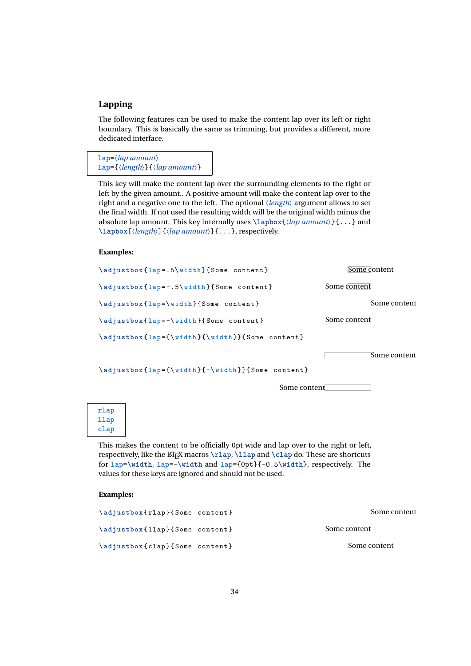## **Lapping**

The following features can be used to make the content lap over its left or right boundary. This is basically the same as trimming, but provides a different, more dedicated interface.

**lap**=〈*lap amount*〉 **lap**={〈*length*〉}{〈*lap amount*〉}

This key will make the content lap over the surrounding elements to the right or left by the given amount.. A positive amount will make the content lap over to the right and a negative one to the left. The optional 〈*length*〉 argument allows to set the final width. If not used the resulting width will be the original width minus the absolute lap amount. This key internally uses  $\langle \langle \rangle$  and  $\langle \rangle$  {...} and **\lapbox**[〈*length*〉]{〈*lap amount*〉}{...}, respectively.

### **Examples:**

| \adjustbox { lap = . 5 \ width } { Some content }  | Some content |
|----------------------------------------------------|--------------|
| \adjustbox { lap = -. 5 \ width } { Some content } | Some content |
| \adjustbox { lap = \ width } { Some content }      | Some content |
| \adjustbox { lap = - \ width } { Some content }    | Some content |
| \adjustbox{lap={\width}{\width}}{Some content}     |              |
|                                                    | Some content |
| \adjustbox {lap={\width}{-\width}}{Some content}   |              |
| Some content                                       |              |
| rlap                                               |              |
| llap                                               |              |

This makes the content to be officially 0pt wide and lap over to the right or left, respectively, like the LATEX macros **\rlap**, **\llap** and **\clap** do. These are shortcuts for **lap**=**\width**, **lap**=-**\width** and **lap**={0pt}{-0.5**\width**}, respectively. The values for these keys are ignored and should not be used.

#### **Examples:**

**clap**

| \adjustbox{rlap}{Some content} | Some content |
|--------------------------------|--------------|
| \adjustbox{llap}{Some content} | Some content |
| \adjustbox{clap}{Some content} | Some dontent |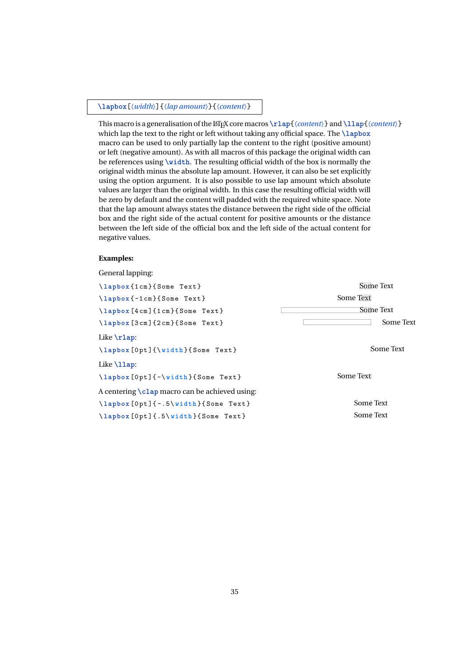#### **\lapbox**[〈*width*〉]{〈*lap amount*〉}{〈*content*〉}

This macro is a generalisation of the ET<sub>EX</sub> core macros  $\rho$ {*(content)*} and  $\langle$ 11ap{ $\langle$ *content*} which lap the text to the right or left without taking any official space. The **\lapbox** macro can be used to only partially lap the content to the right (positive amount) or left (negative amount). As with all macros of this package the original width can be references using **\width**. The resulting official width of the box is normally the original width minus the absolute lap amount. However, it can also be set explicitly using the option argument. It is also possible to use lap amount which absolute values are larger than the original width. In this case the resulting official width will be zero by default and the content will padded with the required white space. Note that the lap amount always states the distance between the right side of the official box and the right side of the actual content for positive amounts or the distance between the left side of the official box and the left side of the actual content for negative values.

#### **Examples:**

General lapping:

| \lapbox{1cm}{Some Text}                        | Some Text |  |  |
|------------------------------------------------|-----------|--|--|
| \lapbox{-1cm}{Some Text}                       | Some Text |  |  |
| \lapbox [4cm] {1cm} {Some Text}                | Some Text |  |  |
| \lapbox[3cm]{2cm}{Some Text}                   | Some Text |  |  |
| Like <b>\rlap</b> :                            |           |  |  |
| \lapbox[0pt]{\width}{Some Text}                | Some Text |  |  |
| Like \11ap:                                    |           |  |  |
| \lapbox[0pt]{-\width}{Some Text}               | Some Text |  |  |
| A centering \clap macro can be achieved using: |           |  |  |
| \lapbox[0pt]{-.5\width}{Some Text}             | Some Text |  |  |
| \lapbox[0pt]{.5\width}{Some Text}              | Some Text |  |  |
|                                                |           |  |  |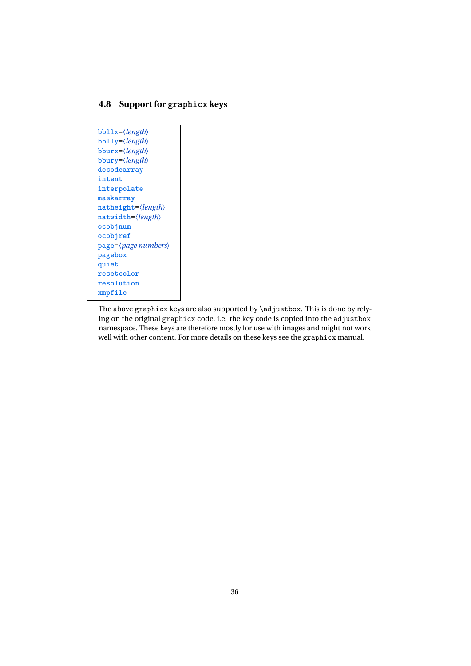## <span id="page-35-0"></span>**4.8 Support for graphicx keys**

The above graphicx keys are also supported by \adjustbox. This is done by relying on the original graphicx code, i.e. the key code is copied into the adjustbox namespace. These keys are therefore mostly for use with images and might not work well with other content. For more details on these keys see the graphicx manual.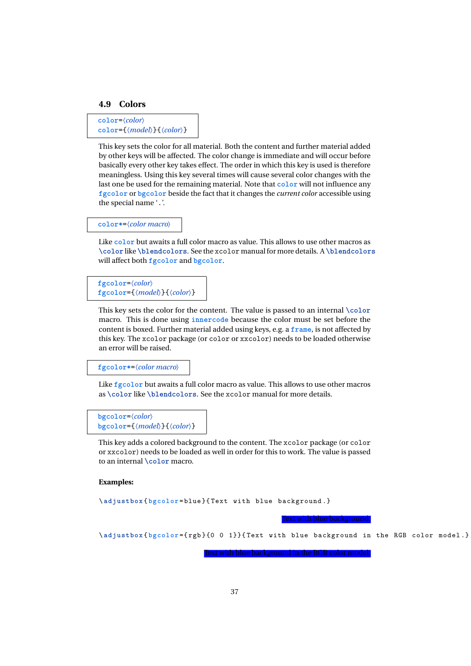#### <span id="page-36-0"></span>**4.9 Colors**

```
color=〈color〉
color={〈model〉}{〈color〉}
```
This key sets the color for all material. Both the content and further material added by other keys will be affected. The color change is immediate and will occur before basically every other key takes effect. The order in which this key is used is therefore meaningless. Using this key several times will cause several color changes with the last one be used for the remaining material. Note that **color** will not influence any **fgcolor** or **bgcolor** beside the fact that it changes the *current color* accessible using the special name '.'.

#### **color\***=〈*color macro*〉

Like **color** but awaits a full color macro as value. This allows to use other macros as **\color** like **\blendcolors**. See the xcolor manual for more details. A **\blendcolors** will affect both **fgcolor** and **bgcolor**.

```
fgcolor=〈color〉
fgcolor={〈model〉}{〈color〉}
```
This key sets the color for the content. The value is passed to an internal **\color** macro. This is done using **innercode** because the color must be set before the content is boxed. Further material added using keys, e.g. a **frame**, is not affected by this key. The xcolor package (or color or xxcolor) needs to be loaded otherwise an error will be raised.

**fgcolor\***=〈*color macro*〉

Like **fgcolor** but awaits a full color macro as value. This allows to use other macros as **\color** like **\blendcolors**. See the xcolor manual for more details.

```
bgcolor=〈color〉
bgcolor={〈model〉}{〈color〉}
```
This key adds a colored background to the content. The xcolor package (or color or xxcolor) needs to be loaded as well in order for this to work. The value is passed to an internal **\color** macro.

#### **Examples:**

\ **adjustbox** { **bgcolor** = blue }{ Text with blue background .}

Text with blue background.

\ **adjustbox** { **bgcolor** ={ rgb }{0 0 1}}{ Text with blue background in the RGB color model .}

Text with blue background in the RGB color model.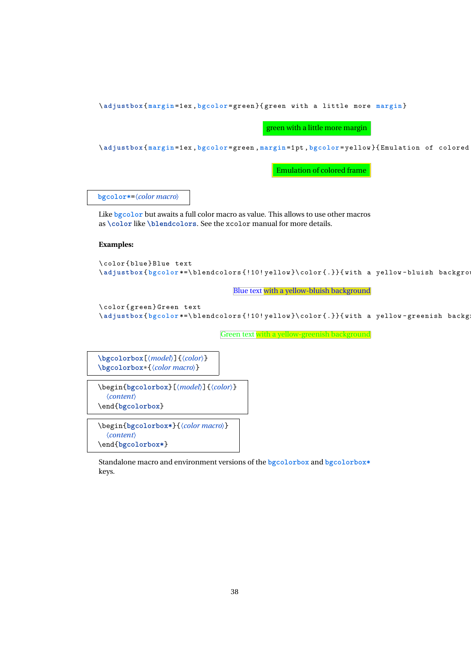\ **adjustbox** { **margin** =1 ex , **bgcolor** = green }{ green with a little more **margin** }

green with a little more margin

\ **adjustbox** { **margin** =1 ex , **bgcolor** = green , **margin** =1 pt , **bgcolor** = yellow }{ Emulation of colored **frame** }

Emulation of colored frame

**bgcolor\***=〈*color macro*〉

Like **bgcolor** but awaits a full color macro as value. This allows to use other macros as **\color** like **\blendcolors**. See the xcolor manual for more details.

**Examples:**

```
\ color { blue } Blue text
\adjustbox{bgcolor*=\blendcolors{!10!yellow}\color{.}}{with a yellow-bluish background }
```
Blue text with a yellow-bluish background

```
\ color { green } Green text
\adjustbox{bgcolor*=\blendcolors{!10!yellow}\color{.}}{with a yellow-greenish backg
```
Green text with a yellow-greenish background

**\bgcolorbox**[〈*model*〉]{〈*color*〉} **\bgcolorbox**\*{〈*color macro*〉}

\begin{**bgcolorbox**}[〈*model*〉]{〈*color*〉} 〈*content*〉 \end{**bgcolorbox**}

```
\begin{bgcolorbox*}{〈color macro〉}
  〈content〉
\end{bgcolorbox*}
```
Standalone macro and environment versions of the **bgcolorbox** and **bgcolorbox\*** keys.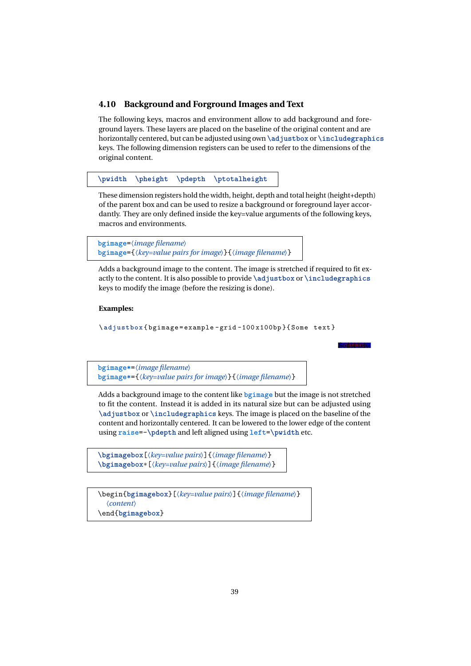### <span id="page-38-0"></span>**4.10 Background and Forground Images and Text**

The following keys, macros and environment allow to add background and foreground layers. These layers are placed on the baseline of the original content and are horizontally centered, but can be adjusted using own **\adjustbox** or **\includegraphics** keys. The following dimension registers can be used to refer to the dimensions of the original content.

**\pwidth \pheight \pdepth \ptotalheight**

These dimension registers hold the width, height, depth and total height (height+depth) of the parent box and can be used to resize a background or foreground layer accordantly. They are only defined inside the key=value arguments of the following keys, macros and environments.

```
bgimage=〈image filename〉
bgimage={〈key=value pairs for image〉}{〈image filename〉}
```
Adds a background image to the content. The image is stretched if required to fit exactly to the content. It is also possible to provide **\adjustbox** or **\includegraphics** keys to modify the image (before the resizing is done).

#### **Examples:**

\ **adjustbox** { bgimage = example - grid -100 x100bp }{ Some text }

Some text

**bgimage\***=〈*image filename*〉 **bgimage\***={〈*key=value pairs for image*〉}{〈*image filename*〉}

Adds a background image to the content like **bgimage** but the image is not stretched to fit the content. Instead it is added in its natural size but can be adjusted using **\adjustbox** or **\includegraphics** keys. The image is placed on the baseline of the content and horizontally centered. It can be lowered to the lower edge of the content using **raise**=-**\pdepth** and left aligned using **left**=**\pwidth** etc.

**\bgimagebox**[〈*key=value pairs*〉]{〈*image filename*〉} **\bgimagebox**\*[〈*key=value pairs*〉]{〈*image filename*〉}

\begin{**bgimagebox**}[〈*key=value pairs*〉]{〈*image filename*〉} 〈*content*〉 \end{**bgimagebox**}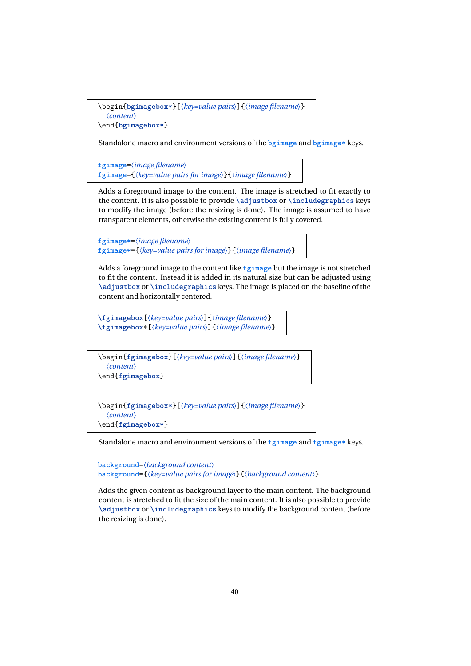```
\begin{bgimagebox*}[〈key=value pairs〉]{〈image filename〉}
  〈content〉
\end{bgimagebox*}
```
Standalone macro and environment versions of the **bgimage** and **bgimage\*** keys.

**fgimage**=〈*image filename*〉 **fgimage**={〈*key=value pairs for image*〉}{〈*image filename*〉}

Adds a foreground image to the content. The image is stretched to fit exactly to the content. It is also possible to provide **\adjustbox** or **\includegraphics** keys to modify the image (before the resizing is done). The image is assumed to have transparent elements, otherwise the existing content is fully covered.

```
fgimage*=〈image filename〉
fgimage*={〈key=value pairs for image〉}{〈image filename〉}
```
Adds a foreground image to the content like **fgimage** but the image is not stretched to fit the content. Instead it is added in its natural size but can be adjusted using **\adjustbox** or **\includegraphics** keys. The image is placed on the baseline of the content and horizontally centered.

**\fgimagebox**[〈*key=value pairs*〉]{〈*image filename*〉} **\fgimagebox**\*[〈*key=value pairs*〉]{〈*image filename*〉}

```
\begin{fgimagebox}[〈key=value pairs〉]{〈image filename〉}
  〈content〉
\end{fgimagebox}
```

```
\begin{fgimagebox*}[〈key=value pairs〉]{〈image filename〉}
  〈content〉
\end{fgimagebox*}
```
Standalone macro and environment versions of the **fgimage** and **fgimage\*** keys.

```
background=〈background content〉
background={〈key=value pairs for image〉}{〈background content〉}
```
Adds the given content as background layer to the main content. The background content is stretched to fit the size of the main content. It is also possible to provide **\adjustbox** or **\includegraphics** keys to modify the background content (before the resizing is done).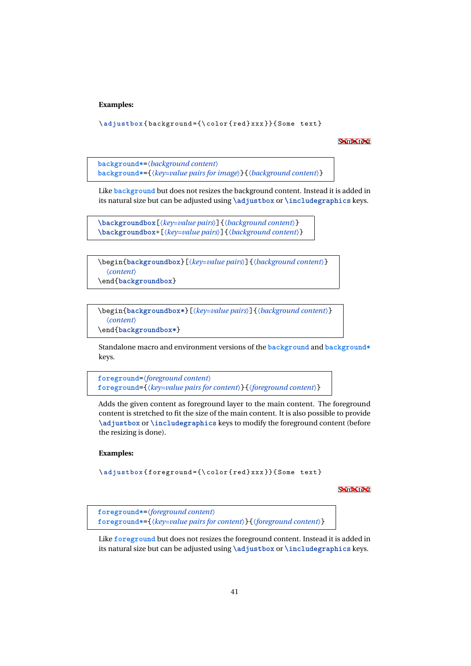#### **Examples:**

\ **adjustbox** { background ={\ color { red } xxx }}{ Some text }

#### Syme text

**background\***=〈*background content*〉 **background\***={〈*key=value pairs for image*〉}{〈*background content*〉}

Like **background** but does not resizes the background content. Instead it is added in its natural size but can be adjusted using **\adjustbox** or **\includegraphics** keys.

**\backgroundbox**[〈*key=value pairs*〉]{〈*background content*〉} **\backgroundbox**\*[〈*key=value pairs*〉]{〈*background content*〉}

\begin{**backgroundbox**}[〈*key=value pairs*〉]{〈*background content*〉} 〈*content*〉 \end{**backgroundbox**}

\begin{**backgroundbox\***}[〈*key=value pairs*〉]{〈*background content*〉} 〈*content*〉

\end{**backgroundbox\***}

Standalone macro and environment versions of the **background** and **background\*** keys.

**foreground**=〈*foreground content*〉 **foreground**={〈*key=value pairs for content*〉}{〈*foreground content*〉}

Adds the given content as foreground layer to the main content. The foreground content is stretched to fit the size of the main content. It is also possible to provide **\adjustbox** or **\includegraphics** keys to modify the foreground content (before the resizing is done).

#### **Examples:**

\ **adjustbox** { foreground ={\ color { red } xxx }}{ Some text }

**Sympatext** 

**foreground\***=〈*foreground content*〉 **foreground\***={〈*key=value pairs for content*〉}{〈*foreground content*〉}

Like **foreground** but does not resizes the foreground content. Instead it is added in its natural size but can be adjusted using **\adjustbox** or **\includegraphics** keys.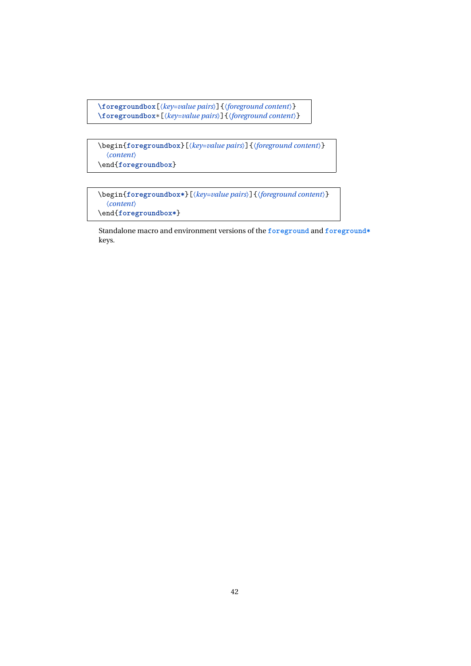**\foregroundbox**[〈*key=value pairs*〉]{〈*foreground content*〉} **\foregroundbox**\*[〈*key=value pairs*〉]{〈*foreground content*〉}

\begin{**foregroundbox**}[〈*key=value pairs*〉]{〈*foreground content*〉} 〈*content*〉 \end{**foregroundbox**}

\begin{**foregroundbox\***}[〈*key=value pairs*〉]{〈*foreground content*〉} 〈*content*〉 \end{**foregroundbox\***}

Standalone macro and environment versions of the **foreground** and **foreground\*** keys.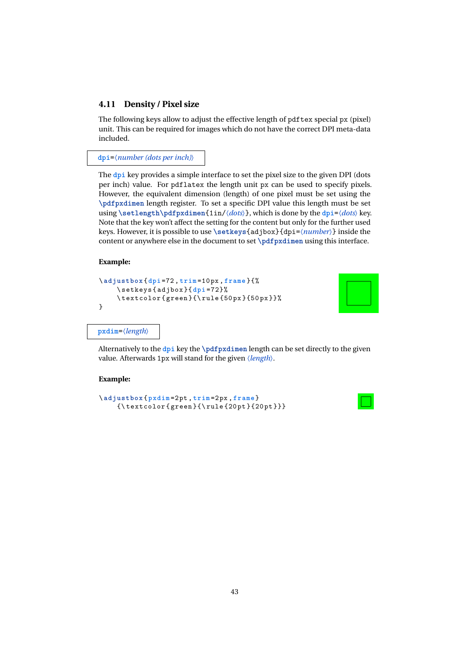#### <span id="page-42-0"></span>**4.11 Density / Pixel size**

The following keys allow to adjust the effective length of pdftex special px (pixel) unit. This can be required for images which do not have the correct DPI meta-data included.

**dpi**=〈*number (dots per inch)*〉

The **dpi** key provides a simple interface to set the pixel size to the given DPI (dots per inch) value. For pdflatex the length unit px can be used to specify pixels. However, the equivalent dimension (length) of one pixel must be set using the **\pdfpxdimen** length register. To set a specific DPI value this length must be set using **\setlength\pdfpxdimen**{1in/〈*dots*〉}, which is done by the **dpi**=〈*dots*〉 key. Note that the key won't affect the setting for the content but only for the further used keys. However, it is possible to use **\setkeys**{adjbox}{dpi=〈*number*〉} inside the content or anywhere else in the document to set **\pdfpxdimen** using this interface.

#### **Example:**

```
\ adjustbox { dpi =72 , trim =10 px , frame }{%
    \ setkeys { adjbox }{ dpi =72}%
    \textcolor{green}{\rule{50px}{50px}}%
}
```


**pxdim**=〈*length*〉

Alternatively to the **dpi** key the **\pdfpxdimen** length can be set directly to the given value. Afterwards 1px will stand for the given 〈*length*〉.

#### **Example:**

```
\ adjustbox { pxdim =2 pt , trim =2 px , frame }
    {\ \texttt{\{} }\{\ \texttt{20pt}\{\} }\}
```

|                                                                                                                       | and the state of the state of the state of the state of the state of the state of the state of the state of th |  |  |
|-----------------------------------------------------------------------------------------------------------------------|----------------------------------------------------------------------------------------------------------------|--|--|
|                                                                                                                       | <b>CONTRACTOR</b>                                                                                              |  |  |
| <b>Contract Contract Contract Contract Contract Contract Contract Contract Contract Contract Contract Contract Co</b> |                                                                                                                |  |  |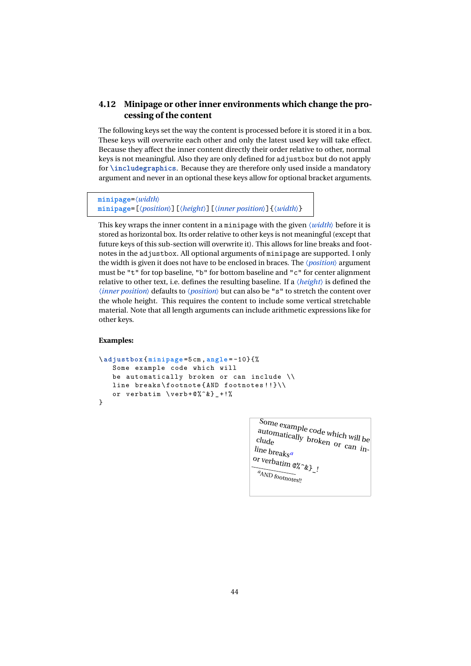## <span id="page-43-0"></span>**4.12 Minipage or other inner environments which change the processing of the content**

The following keys set the way the content is processed before it is stored it in a box. These keys will overwrite each other and only the latest used key will take effect. Because they affect the inner content directly their order relative to other, normal keys is not meaningful. Also they are only defined for adjustbox but do not apply for **\includegraphics**. Because they are therefore only used inside a mandatory argument and never in an optional these keys allow for optional bracket arguments.

```
minipage=〈width〉
minipage=[〈position〉][〈height〉][〈inner position〉]{〈width〉}
```
This key wraps the inner content in a minipage with the given 〈*width*〉 before it is stored as horizontal box. Its order relative to other keys is not meaningful (except that future keys of this sub-section will overwrite it). This allows for line breaks and footnotes in the adjustbox. All optional arguments of minipage are supported. I only the width is given it does not have to be enclosed in braces. The 〈*position*〉 argument must be "t" for top baseline, "b" for bottom baseline and "c" for center alignment relative to other text, i.e. defines the resulting baseline. If a 〈*height*〉 is defined the 〈*inner position*〉 defaults to 〈*position*〉 but can also be "s" to stretch the content over the whole height. This requires the content to include some vertical stretchable material. Note that all length arguments can include arithmetic expressions like for other keys.

#### **Examples:**

```
\ adjustbox { minipage =5 cm , angle = -10}{%
   Some example code which will
   be automatically broken or can include \\
   line breaks\footnote{AND footnotes!!}\\
   or verbatim \ verb + @ %^&} _ +!%
}
```
Some example code which will be<br>automatically broken or a will be automatically broken or can in-<br><sup>clu</sup>de *automatically broken or can in-*<br>ine bro... clude line breaks *[a](#page-43-1)* or verbatim @%^&}\_! a AND footnotes!!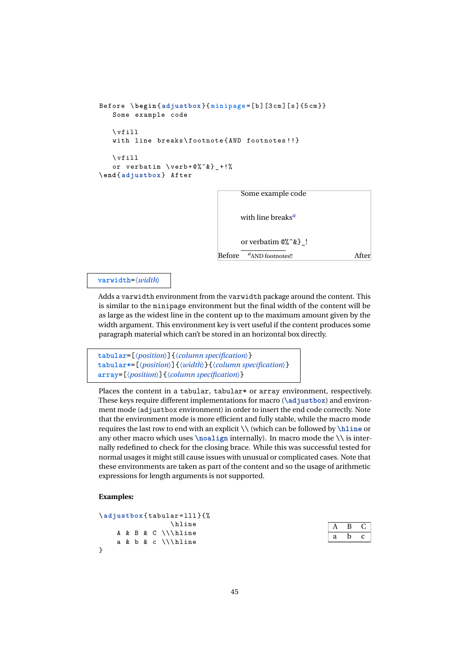```
Before \ begin { adjustbox }{ minipage =[ b ][3 cm ][ s ]{5 cm }}
   Some example code
   \sqrt{v}fill
   with line breaks\footnote{AND footnotes!!}
   \sqrt{v}ill
   or verbatim \ver{verb+@ \hat{C} +! %
\end{ adjustbox } After
```
<span id="page-44-0"></span>

| $Before$ $a_{AND}$ footnotes!!     | After |
|------------------------------------|-------|
| or verbatim $\mathcal{X}^* \&\}$ ! |       |
| with line breaks <sup>a</sup>      |       |
| Some example code                  |       |

## **varwidth**=〈*width*〉

Adds a varwidth environment from the varwidth package around the content. This is similar to the minipage environment but the final width of the content will be as large as the widest line in the content up to the maximum amount given by the width argument. This environment key is vert useful if the content produces some paragraph material which can't be stored in an horizontal box directly.

```
tabular=[〈position〉]{〈column specification〉}
tabular*=[〈position〉]{〈width〉}{〈column specification〉}
array=[〈position〉]{〈column specification〉}
```
Places the content in a tabular, tabular\* or array environment, respectively. These keys require different implementations for macro (**\adjustbox**) and environment mode (adjustbox environment) in order to insert the end code correctly. Note that the environment mode is more efficient and fully stable, while the macro mode requires the last row to end with an explicit \\ (which can be followed by **\hline** or any other macro which uses  $\nabla$  internally). In macro mode the  $\iota$  is internally redefined to check for the closing brace. While this was successful tested for normal usages it might still cause issues with unusual or complicated cases. Note that these environments are taken as part of the content and so the usage of arithmetic expressions for length arguments is not supported.

#### **Examples:**

| \adjustbox{tabular=111}{% |  |  |  |  |                    |  |  |  |
|---------------------------|--|--|--|--|--------------------|--|--|--|
|                           |  |  |  |  | <b>\hline</b>      |  |  |  |
|                           |  |  |  |  | A & B & C \\\hline |  |  |  |
|                           |  |  |  |  | a & b & c \\\hline |  |  |  |
|                           |  |  |  |  |                    |  |  |  |

| ., |  |
|----|--|
|    |  |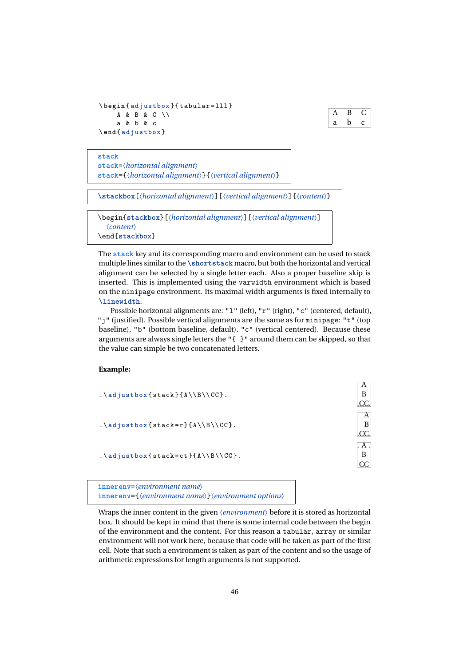```
\ begin { adjustbox }{ tabular = lll }
    A & B & C \\
    a & b & c
\end{ adjustbox }
```

```
A B C
a b c
```
**stack stack**=〈*horizontal alignment*〉 **stack**={〈*horizontal alignment*〉}{〈*vertical alignment*〉}

**\stackbox**[〈*horizontal alignment*〉][〈*vertical alignment*〉]{〈*content*〉}

\begin{**stackbox**}[〈*horizontal alignment*〉][〈*vertical alignment*〉] 〈*content*〉 \end{**stackbox**}

The **stack** key and its corresponding macro and environment can be used to stack multiple lines similar to the **\shortstack** macro, but both the horizontal and vertical alignment can be selected by a single letter each. Also a proper baseline skip is inserted. This is implemented using the varwidth environment which is based on the minipage environment. Its maximal width arguments is fixed internally to **\linewidth**.

Possible horizontal alignments are: "1" (left), "r" (right), "c" (centered, default), "j" (justified). Possible vertical alignments are the same as for minipage: "t" (top baseline), "b" (bottom baseline, default), "c" (vertical centered). Because these arguments are always single letters the " $\{\}$ " around them can be skipped, so that the value can simple be two concatenated letters.

#### **Example:**

. $\adjustbox{stack}_{A\Bigr\rightarrow C}$ . . CC. A B . $\adjustbox{stack=r}{A\Braq B\Braq C}.$ . CC. A B . $\adjustbox{stack=ct}{A\Bigr\angle B\Bigr\angle}$ . . A . B  $|CC$ 

**innerenv**=〈*environment name*〉 **innerenv**={〈*environment name*〉}〈*environment options*〉

Wraps the inner content in the given  $\langle environment \rangle$  before it is stored as horizontal box. It should be kept in mind that there is some internal code between the begin of the environment and the content. For this reason a tabular, array or similar environment will not work here, because that code will be taken as part of the first cell. Note that such a environment is taken as part of the content and so the usage of arithmetic expressions for length arguments is not supported.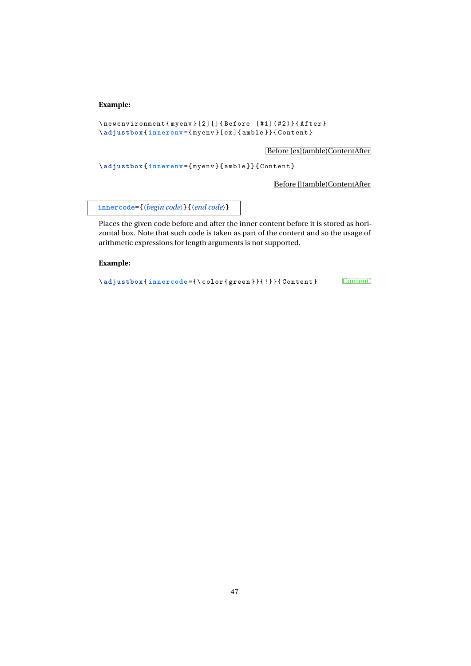#### **Example:**

```
\newenvironment{myenv}[2][]{Before [#1](#2)}{After}
\ adjustbox { innerenv ={ myenv }[ ex ]{ amble }}{ Content }
```
Before [ex](amble)ContentAfter

\ **adjustbox** { **innerenv** ={ myenv }{ amble }}{ Content }

Before [](amble)ContentAfter

**innercode**={〈*begin code*〉}{〈*end code*〉}

Places the given code before and after the inner content before it is stored as horizontal box. Note that such code is taken as part of the content and so the usage of arithmetic expressions for length arguments is not supported.

#### **Example:**

\adjustbox{innercode={\color{green}}{!}}{Content} Content!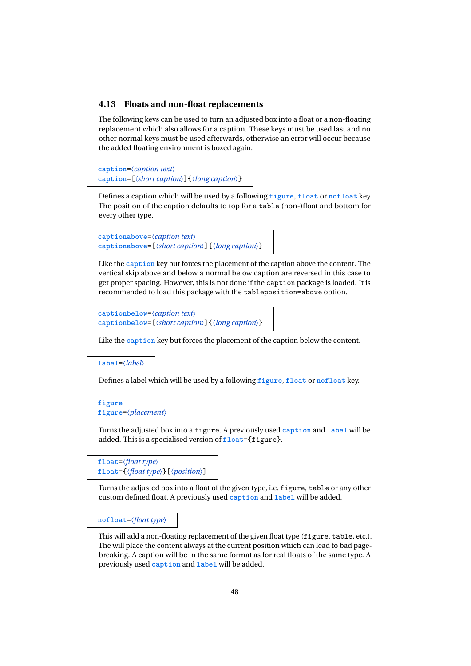### <span id="page-47-0"></span>**4.13 Floats and non-float replacements**

The following keys can be used to turn an adjusted box into a float or a non-floating replacement which also allows for a caption. These keys must be used last and no other normal keys must be used afterwards, otherwise an error will occur because the added floating environment is boxed again.

```
caption=〈caption text〉
caption=[〈short caption〉]{〈long caption〉}
```
Defines a caption which will be used by a following **figure**, **float** or **nofloat** key. The position of the caption defaults to top for a table (non-)float and bottom for every other type.

```
captionabove=〈caption text〉
captionabove=[〈short caption〉]{〈long caption〉}
```
Like the **caption** key but forces the placement of the caption above the content. The vertical skip above and below a normal below caption are reversed in this case to get proper spacing. However, this is not done if the caption package is loaded. It is recommended to load this package with the tableposition=above option.

```
captionbelow=〈caption text〉
captionbelow=[〈short caption〉]{〈long caption〉}
```
Like the **caption** key but forces the placement of the caption below the content.

**label**=〈*label*〉

Defines a label which will be used by a following **figure**, **float** or **nofloat** key.

#### **figure figure**=〈*placement*〉

Turns the adjusted box into a figure. A previously used **caption** and **label** will be added. This is a specialised version of **float**={figure}.

```
float=〈float type〉
float={〈float type〉}[〈position〉]
```
Turns the adjusted box into a float of the given type, i.e. figure, table or any other custom defined float. A previously used **caption** and **label** will be added.

```
nofloat=〈float type〉
```
This will add a non-floating replacement of the given float type (figure, table, etc.). The will place the content always at the current position which can lead to bad pagebreaking. A caption will be in the same format as for real floats of the same type. A previously used **caption** and **label** will be added.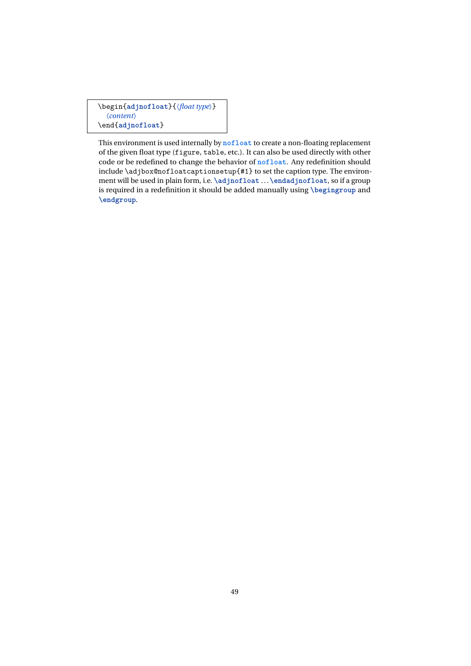\begin{**adjnofloat**}{〈*float type*〉} 〈*content*〉 \end{**adjnofloat**}

This environment is used internally by **nofloat** to create a non-floating replacement of the given float type (figure, table, etc.). It can also be used directly with other code or be redefined to change the behavior of **nofloat**. Any redefinition should include \adjbox@nofloatcaptionsetup{#1} to set the caption type. The environment will be used in plain form, i.e. **\adjnofloat** . . .**\endadjnofloat**, so if a group is required in a redefinition it should be added manually using **\begingroup** and **\endgroup**.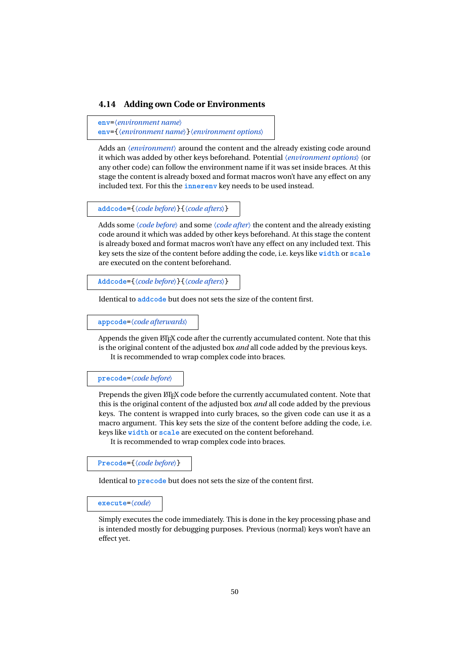## <span id="page-49-0"></span>**4.14 Adding own Code or Environments**

**env**=〈*environment name*〉 **env**={〈*environment name*〉}〈*environment options*〉

Adds an 〈*environment*〉 around the content and the already existing code around it which was added by other keys beforehand. Potential 〈*environment options*〉 (or any other code) can follow the environment name if it was set inside braces. At this stage the content is already boxed and format macros won't have any effect on any included text. For this the **innerenv** key needs to be used instead.

**addcode**={〈*code before*〉}{〈*code afters*〉}

Adds some 〈*code before*〉 and some 〈*code after*〉 the content and the already existing code around it which was added by other keys beforehand. At this stage the content is already boxed and format macros won't have any effect on any included text. This key sets the size of the content before adding the code, i.e. keys like **width** or **scale** are executed on the content beforehand.

**Addcode**={〈*code before*〉}{〈*code afters*〉}

Identical to **addcode** but does not sets the size of the content first.

**appcode**=〈*code afterwards*〉

Appends the given ETEX code after the currently accumulated content. Note that this is the original content of the adjusted box *and* all code added by the previous keys. It is recommended to wrap complex code into braces.

**precode**=〈*code before*〉

Prepends the given ET<sub>E</sub>X code before the currently accumulated content. Note that this is the original content of the adjusted box *and* all code added by the previous keys. The content is wrapped into curly braces, so the given code can use it as a macro argument. This key sets the size of the content before adding the code, i.e. keys like **width** or **scale** are executed on the content beforehand.

It is recommended to wrap complex code into braces.

**Precode**={〈*code before*〉}

Identical to **precode** but does not sets the size of the content first.

**execute**=〈*code*〉

Simply executes the code immediately. This is done in the key processing phase and is intended mostly for debugging purposes. Previous (normal) keys won't have an effect yet.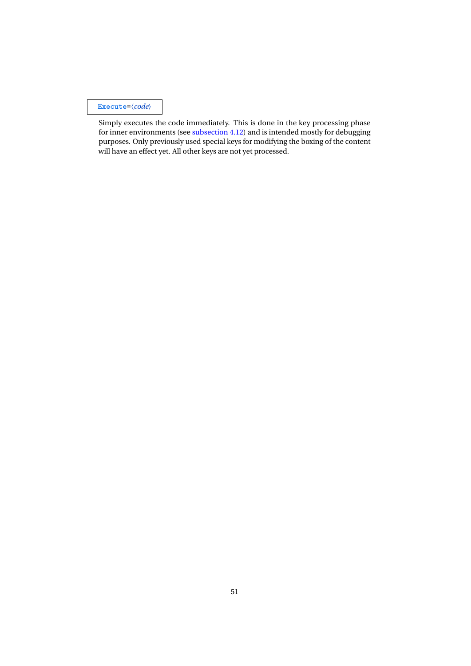**Execute**=〈*code*〉

Simply executes the code immediately. This is done in the key processing phase for inner environments (see [subsection 4.12\)](#page-43-0) and is intended mostly for debugging purposes. Only previously used special keys for modifying the boxing of the content will have an effect yet. All other keys are not yet processed.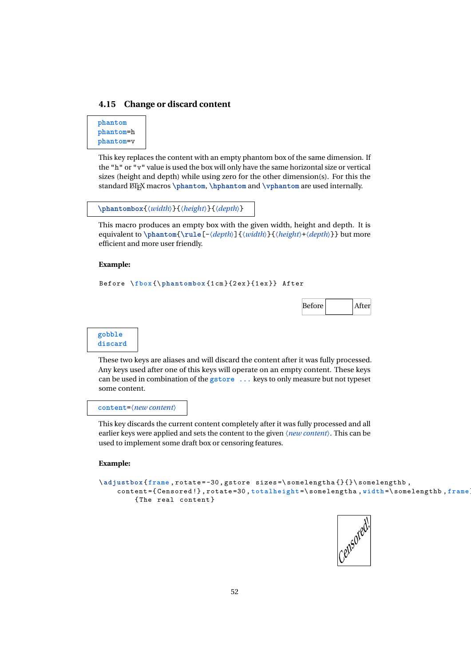#### <span id="page-51-0"></span>**4.15 Change or discard content**

**phantom phantom**=h **phantom**=v

> This key replaces the content with an empty phantom box of the same dimension. If the "h" or "v" value is used the box will only have the same horizontal size or vertical sizes (height and depth) while using zero for the other dimension(s). For this the standard  $\Delta$ F<sub>E</sub>X macros **\phantom**, **\hphantom** and **\vphantom** are used internally.

**\phantombox**{〈*width*〉}{〈*height*〉}{〈*depth*〉}

This macro produces an empty box with the given width, height and depth. It is equivalent to **\phantom**{**\rule**[-〈*depth*〉]{〈*width*〉}{〈*height*〉+〈*depth*〉}} but more efficient and more user friendly.

#### **Example:**

```
Before \ fbox {\ phantombox {1 cm }{2 ex }{1 ex }} After
```

| <b>Before</b> |  | After |
|---------------|--|-------|
|---------------|--|-------|



These two keys are aliases and will discard the content after it was fully processed. Any keys used after one of this keys will operate on an empty content. These keys can be used in combination of the **gstore ...** keys to only measure but not typeset some content.

#### **content**=〈*new content*〉

This key discards the current content completely after it was fully processed and all earlier keys were applied and sets the content to the given 〈*new content*〉. This can be used to implement some draft box or censoring features.

#### **Example:**

```
\ adjustbox {frame , rotate = -30 , gstore sizes =\ somelengtha {}{}\ somelengthb ,
    content ={ Censored !} , rotate =30 , totalheight =\ somelengtha , width =\ somelengthb , frame }
         { The real content }
```
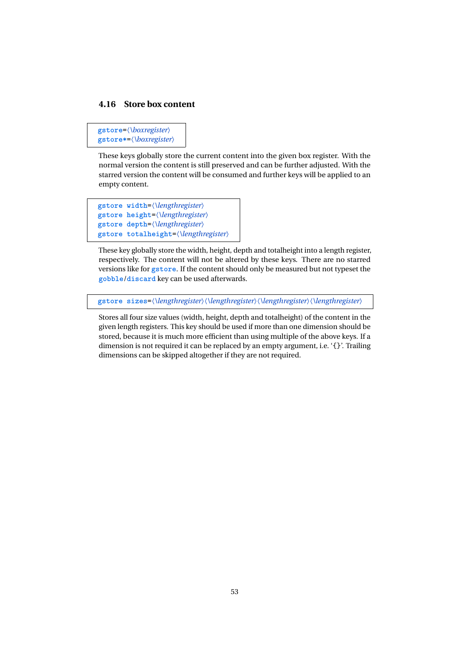### <span id="page-52-0"></span>**4.16 Store box content**

**gstore**=〈*\boxregister*〉 **gstore\***=〈*\boxregister*〉

These keys globally store the current content into the given box register. With the normal version the content is still preserved and can be further adjusted. With the starred version the content will be consumed and further keys will be applied to an empty content.

```
gstore width=〈\lengthregister〉
gstore height=〈\lengthregister〉
gstore depth=〈\lengthregister〉
gstore totalheight=〈\lengthregister〉
```
These key globally store the width, height, depth and totalheight into a length register, respectively. The content will not be altered by these keys. There are no starred versions like for **gstore**. If the content should only be measured but not typeset the **gobble**/**discard** key can be used afterwards.

**gstore sizes**=〈*\lengthregister*〉〈*\lengthregister*〉〈*\lengthregister*〉〈*\lengthregister*〉

Stores all four size values (width, height, depth and totalheight) of the content in the given length registers. This key should be used if more than one dimension should be stored, because it is much more efficient than using multiple of the above keys. If a dimension is not required it can be replaced by an empty argument, i.e. '{}'. Trailing dimensions can be skipped altogether if they are not required.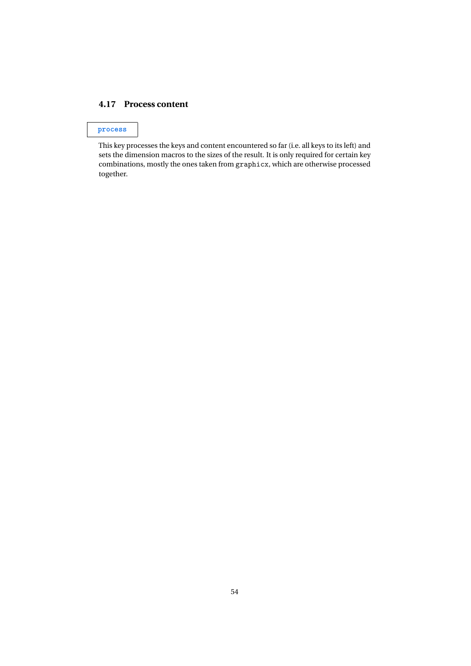## <span id="page-53-0"></span>**4.17 Process content**

## **process**

This key processes the keys and content encountered so far (i.e. all keys to its left) and sets the dimension macros to the sizes of the result. It is only required for certain key combinations, mostly the ones taken from graphicx, which are otherwise processed together.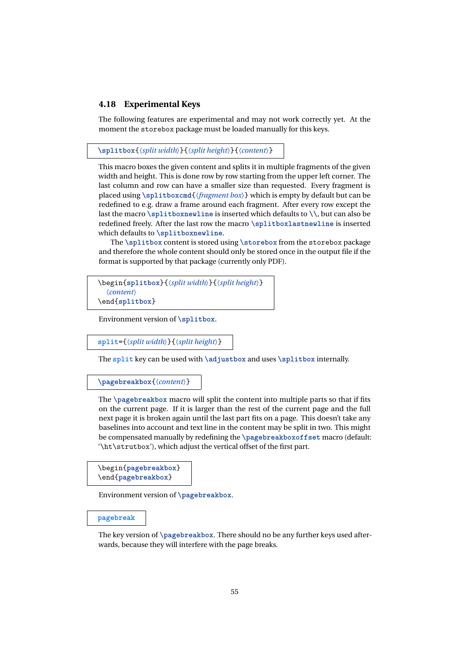### <span id="page-54-0"></span>**4.18 Experimental Keys**

The following features are experimental and may not work correctly yet. At the moment the storebox package must be loaded manually for this keys.

**\splitbox**{〈*split width*〉}{〈*split height*〉}{〈*content*〉}

This macro boxes the given content and splits it in multiple fragments of the given width and height. This is done row by row starting from the upper left corner. The last column and row can have a smaller size than requested. Every fragment is placed using **\splitboxcmd**{〈*fragment box*〉} which is empty by default but can be redefined to e.g. draw a frame around each fragment. After every row except the last the macro **\splitboxnewline** is inserted which defaults to \\, but can also be redefined freely. After the last row the macro **\splitboxlastnewline** is inserted which defaults to **\splitboxnewline**.

The **\splitbox** content is stored using **\storebox** from the storebox package and therefore the whole content should only be stored once in the output file if the format is supported by that package (currently only PDF).

```
\begin{splitbox}{〈split width〉}{〈split height〉}
  〈content〉
\end{splitbox}
```
Environment version of **\splitbox**.

**split**={〈*split width*〉}{〈*split height*〉}

The **split** key can be used with **\adjustbox** and uses **\splitbox** internally.

**\pagebreakbox**{〈*content*〉}

The **\pagebreakbox** macro will split the content into multiple parts so that if fits on the current page. If it is larger than the rest of the current page and the full next page it is broken again until the last part fits on a page. This doesn't take any baselines into account and text line in the content may be split in two. This might be compensated manually by redefining the **\pagebreakboxoffset** macro (default: '\ht\strutbox'), which adjust the vertical offset of the first part.

\begin{**pagebreakbox**} \end{**pagebreakbox**}

Environment version of **\pagebreakbox**.

**pagebreak**

The key version of **\pagebreakbox**. There should no be any further keys used afterwards, because they will interfere with the page breaks.